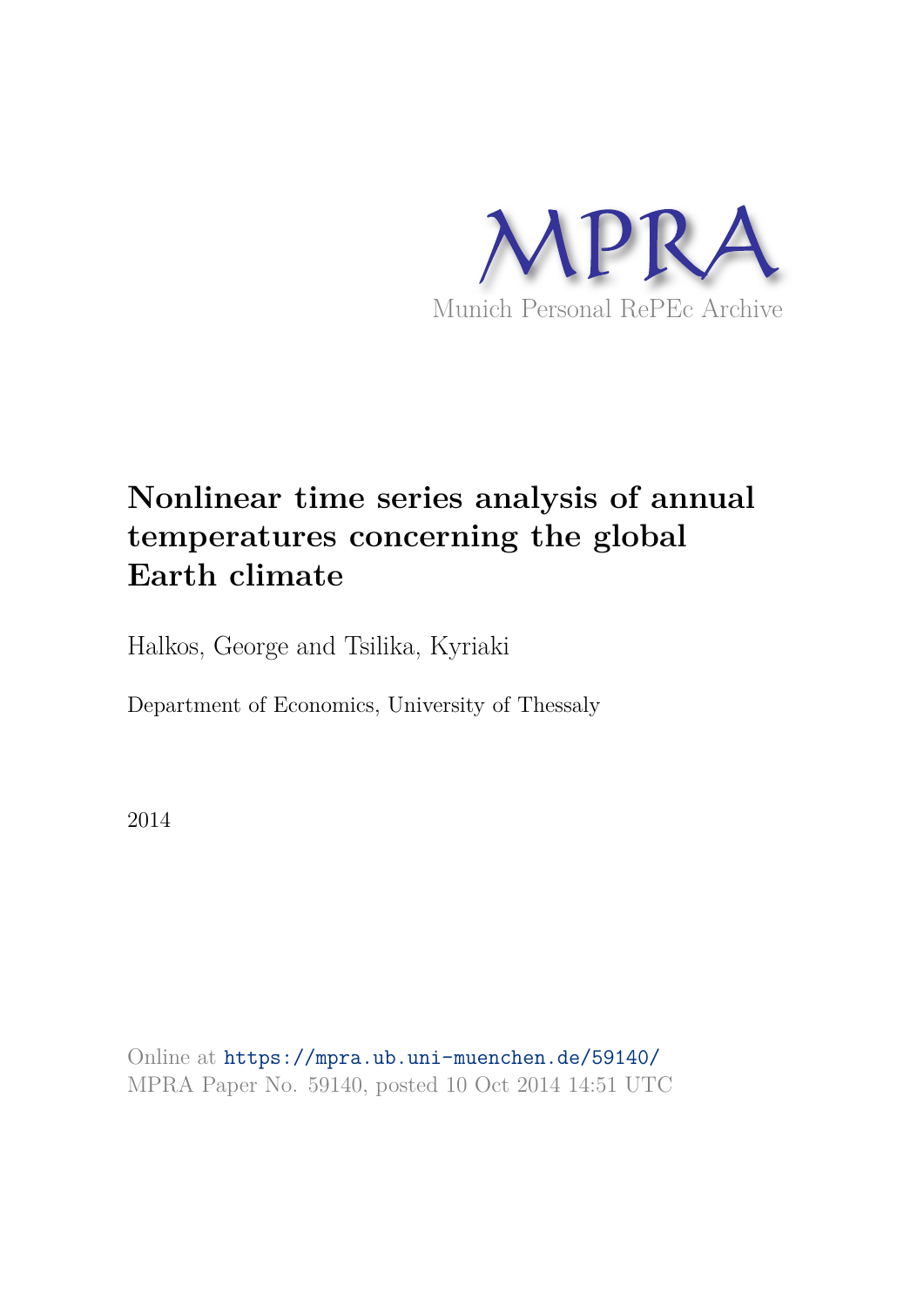

# **Nonlinear time series analysis of annual temperatures concerning the global Earth climate**

Halkos, George and Tsilika, Kyriaki

Department of Economics, University of Thessaly

2014

Online at https://mpra.ub.uni-muenchen.de/59140/ MPRA Paper No. 59140, posted 10 Oct 2014 14:51 UTC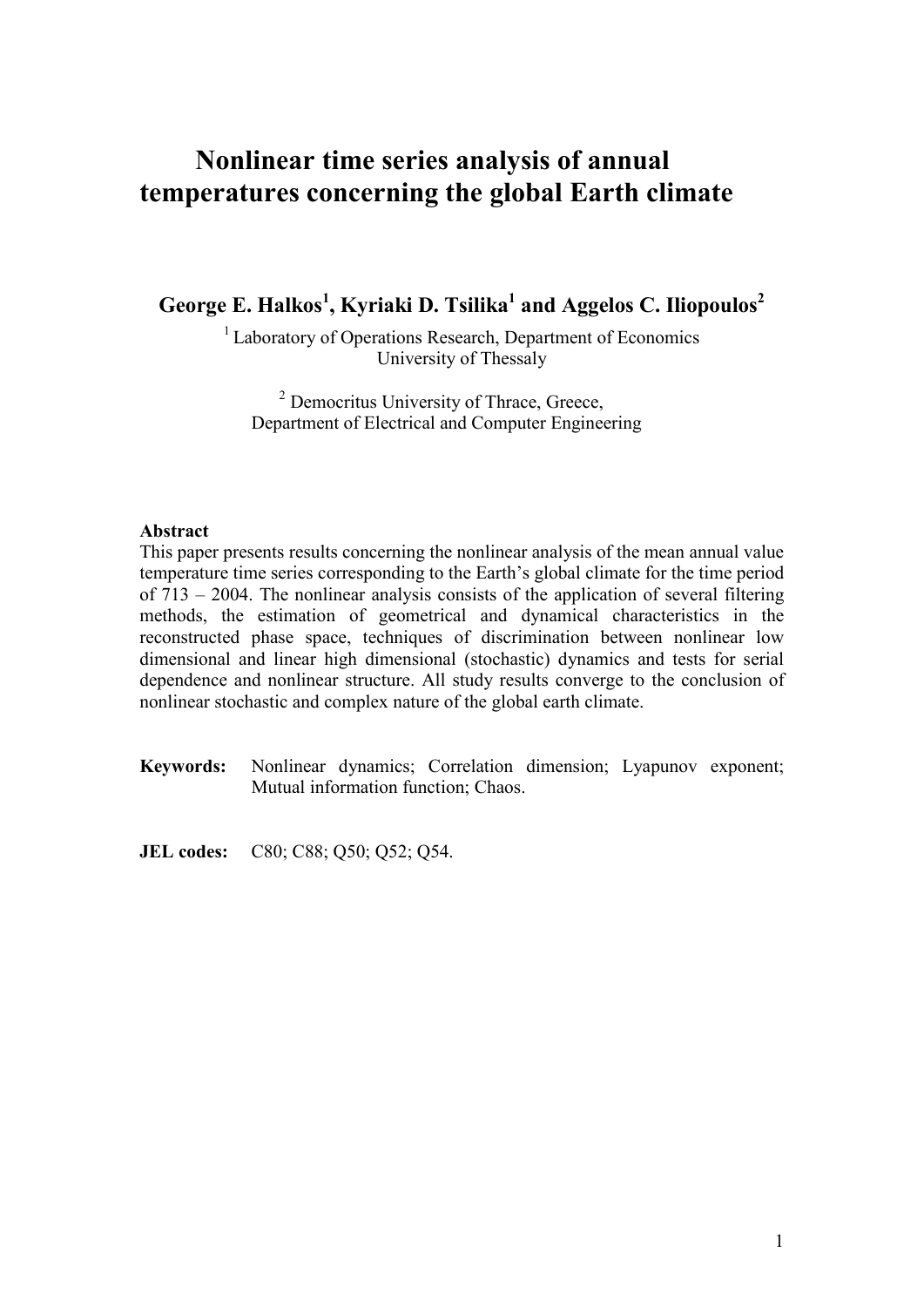# Nonlinear time series analysis of annual

George E. Halkos<sup>1</sup>, Kyriaki D. Tsilika<sup>1</sup> and Aggelos C. Iliopoulos<sup>2</sup>

<sup>1</sup> Laboratory of Operations Research, Department of Economics University of Thessaly

<sup>2</sup> Democritus University of Thrace, Greece, Department of Electrical and Computer Engineering

### Abstract

This paper presents results concerning the nonlinear analysis of the mean annual value temperature time series corresponding to the Earth's global climate for the time period of 713 – 2004. The nonlinear analysis consists of the application of several filtering methods, the estimation of geometrical and dynamical characteristics in the reconstructed phase space, techniques of discrimination between nonlinear low dimensional and linear high dimensional (stochastic) dynamics and tests for serial dependence and nonlinear structure. All study results converge to the conclusion of nonlinear stochastic and complex nature of the global earth climate.

**Keywords:** Nonlinear dynamics; Correlation dimension; Lyapunov exponent; Mutual information function; Chaos.

**JEL codes:** C80; C88; Q50; Q52; Q54.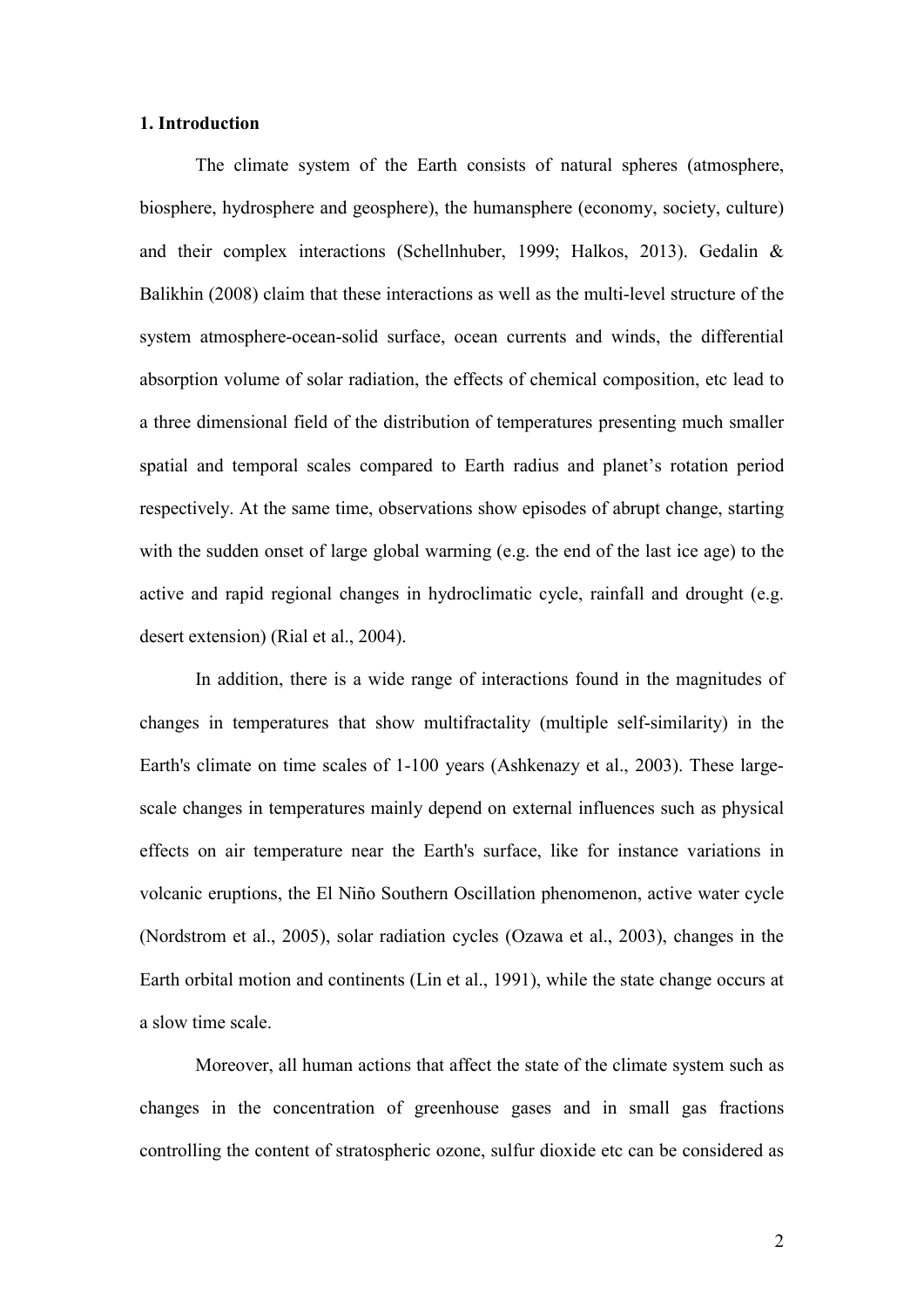#### 1. Introduction

The climate system of the Earth consists of natural spheres (atmosphere, biosphere, hydrosphere and geosphere), the humansphere (economy, society, culture) and their complex interactions (Schellnhuber, 1999; Halkos, 2013). Gedalin & Balikhin (2008) claim that these interactions as well as the multi-level structure of the system atmosphere-ocean-solid surface, ocean currents and winds, the differential absorption volume of solar radiation, the effects of chemical composition, etc lead to a three dimensional field of the distribution of temperatures presenting much smaller spatial and temporal scales compared to Earth radius and planet's rotation period respectively. At the same time, observations show episodes of abrupt change, starting with the sudden onset of large global warming (e.g. the end of the last ice age) to the active and rapid regional changes in hydroclimatic cycle, rainfall and drought (e.g. desert extension) (Rial et al., 2004).

In addition, there is a wide range of interactions found in the magnitudes of changes in temperatures that show multifractality (multiple self-similarity) in the Earth's climate on time scales of 1-100 years (Ashkenazy et al., 2003). These largescale changes in temperatures mainly depend on external influences such as physical effects on air temperature near the Earth's surface, like for instance variations in volcanic eruptions, the El Niño Southern Oscillation phenomenon, active water cycle (Nordstrom et al., 2005), solar radiation cycles (Ozawa et al., 2003), changes in the Earth orbital motion and continents (Lin et al., 1991), while the state change occurs at a slow time scale.

Moreover, all human actions that affect the state of the climate system such as changes in the concentration of greenhouse gases and in small gas fractions controlling the content of stratospheric ozone, sulfur dioxide etc can be considered as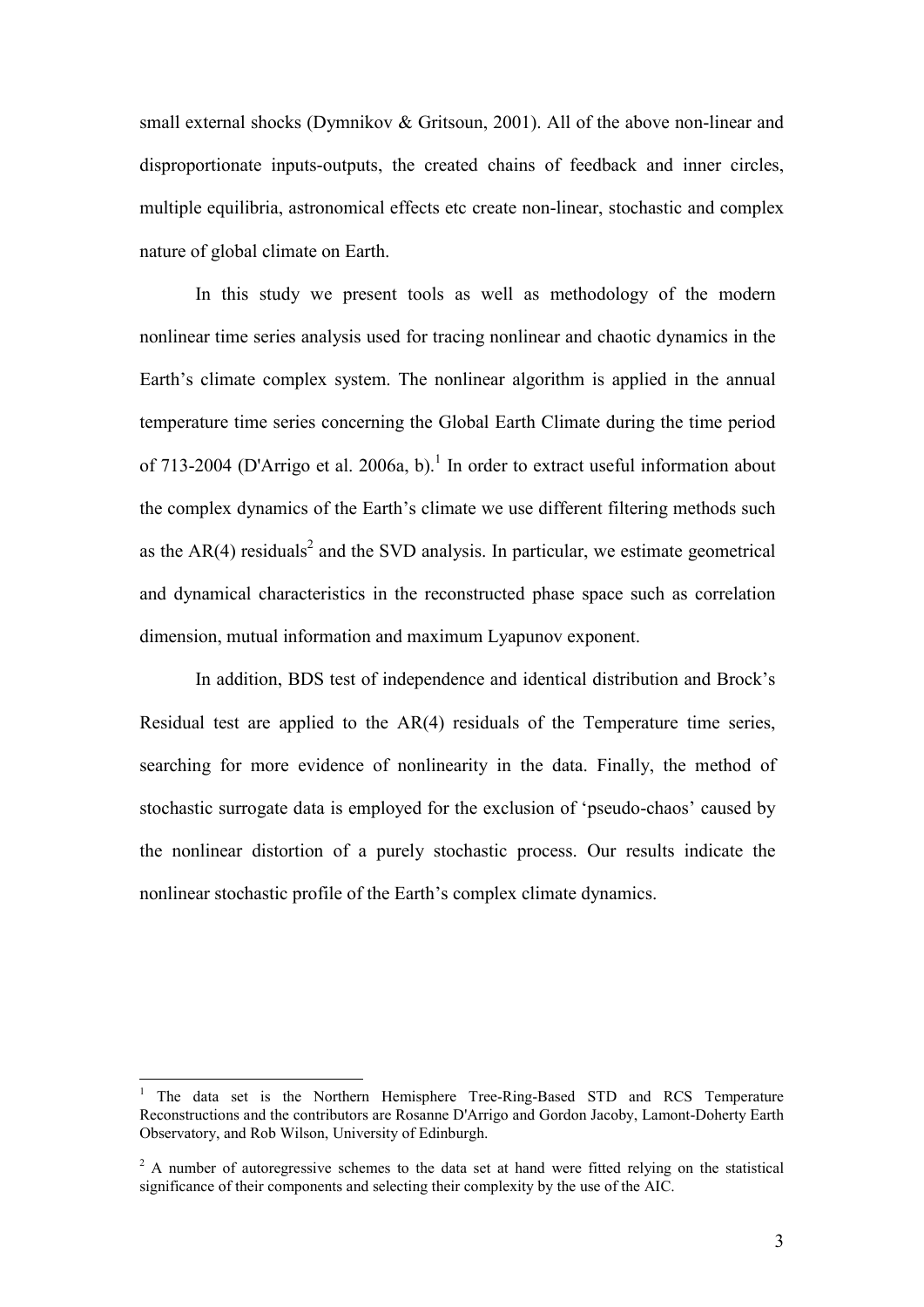small external shocks (Dymnikov  $&$  Gritsoun, 2001). All of the above non-linear and disproportionate inputs-outputs, the created chains of feedback and inner circles, multiple equilibria, astronomical effects etc create non-linear, stochastic and complex nature of global climate on Earth.

In this study we present tools as well as methodology of the modern nonlinear time series analysis used for tracing nonlinear and chaotic dynamics in the Earth's climate complex system. The nonlinear algorithm is applied in the annual temperature time series concerning the Global Earth Climate during the time period of 713-2004 (D'Arrigo et al. 2006a, b).<sup>1</sup> In order to extract useful information about the complex dynamics of the Earth's climate we use different filtering methods such as the  $AR(4)$  residuals<sup>2</sup> and the SVD analysis. In particular, we estimate geometrical and dynamical characteristics in the reconstructed phase space such as correlation dimension, mutual information and maximum Lyapunov exponent.

In addition, BDS test of independence and identical distribution and Brock's Residual test are applied to the AR(4) residuals of the Temperature time series, searching for more evidence of nonlinearity in the data. Finally, the method of stochastic surrogate data is employed for the exclusion of 'pseudo-chaos' caused by the nonlinear distortion of a purely stochastic process. Our results indicate the nonlinear stochastic profile of the Earth's complex climate dynamics.

<u>.</u>

<sup>1</sup> The data set is the Northern Hemisphere Tree-Ring-Based STD and RCS Temperature Reconstructions and the contributors are Rosanne D'Arrigo and Gordon Jacoby, Lamont-Doherty Earth Observatory, and Rob Wilson, University of Edinburgh.

 $2$  A number of autoregressive schemes to the data set at hand were fitted relying on the statistical significance of their components and selecting their complexity by the use of the AIC.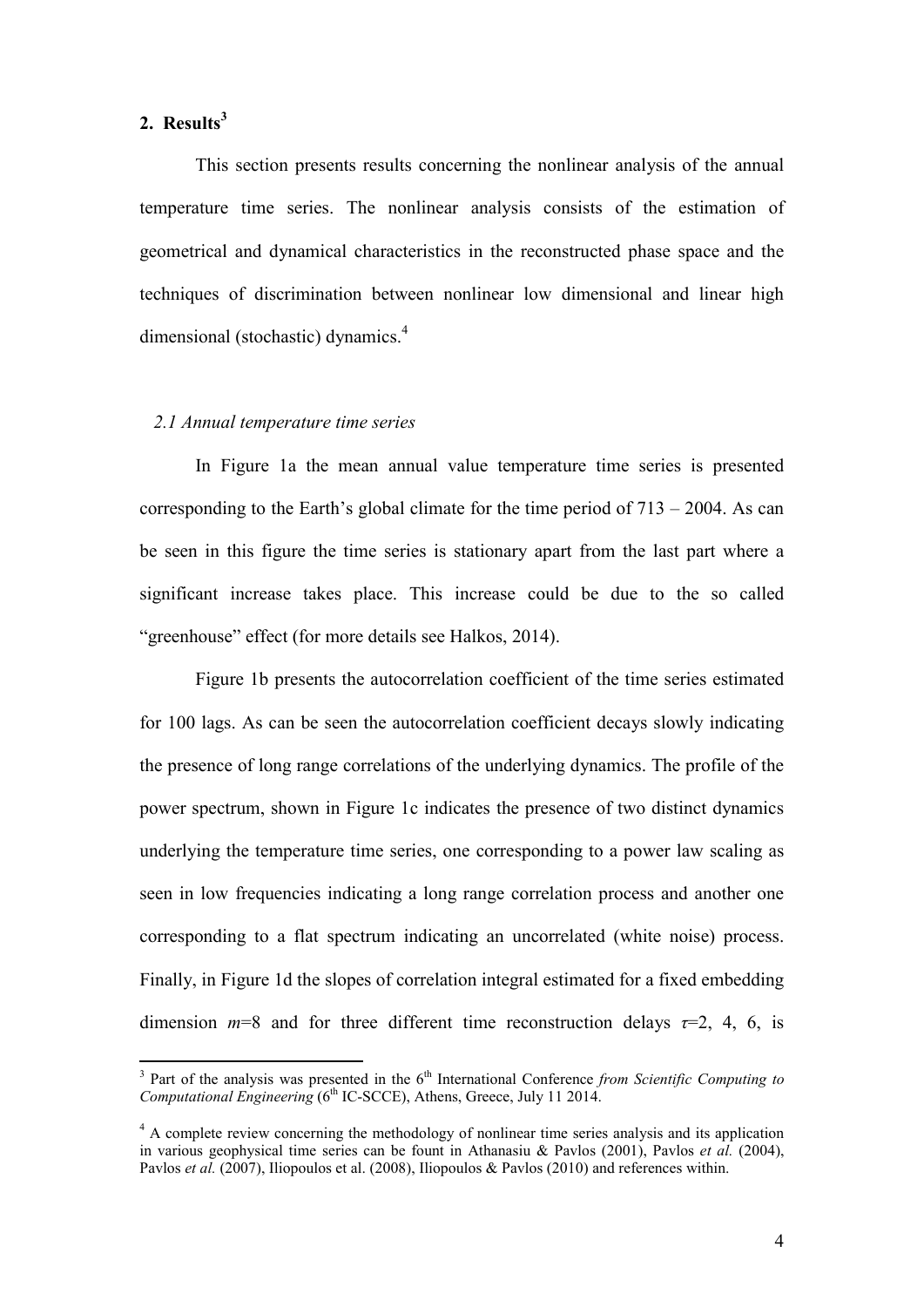# 2. Results<sup>3</sup>

<u>.</u>

This section presents results concerning the nonlinear analysis of the annual temperature time series. The nonlinear analysis consists of the estimation of geometrical and dynamical characteristics in the reconstructed phase space and the techniques of discrimination between nonlinear low dimensional and linear high dimensional (stochastic) dynamics.<sup>4</sup>

#### *2.1 Annual temperature time series*

In Figure 1a the mean annual value temperature time series is presented corresponding to the Earth's global climate for the time period of  $713 - 2004$ . As can be seen in this figure the time series is stationary apart from the last part where a significant increase takes place. This increase could be due to the so called "greenhouse" effect (for more details see Halkos, 2014).

Figure 1b presents the autocorrelation coefficient of the time series estimated for 100 lags. As can be seen the autocorrelation coefficient decays slowly indicating the presence of long range correlations of the underlying dynamics. The profile of the power spectrum, shown in Figure 1c indicates the presence of two distinct dynamics underlying the temperature time series, one corresponding to a power law scaling as seen in low frequencies indicating a long range correlation process and another one corresponding to a flat spectrum indicating an uncorrelated (white noise) process. Finally, in Figure 1d the slopes of correlation integral estimated for a fixed embedding dimension  $m=8$  and for three different time reconstruction delays  $\tau=2$ , 4, 6, is

 $3$  Part of the analysis was presented in the  $6<sup>th</sup>$  International Conference *from Scientific Computing to Computational Engineering* (6<sup>th</sup> IC-SCCE), Athens, Greece, July 11 2014.

<sup>&</sup>lt;sup>4</sup> A complete review concerning the methodology of nonlinear time series analysis and its application in various geophysical time series can be fount in Athanasiu & Pavlos (2001), Pavlos *et al.* (2004), Pavlos *et al.* (2007). Iliopoulos et al. (2008), Iliopoulos & Pavlos (2010) and references within.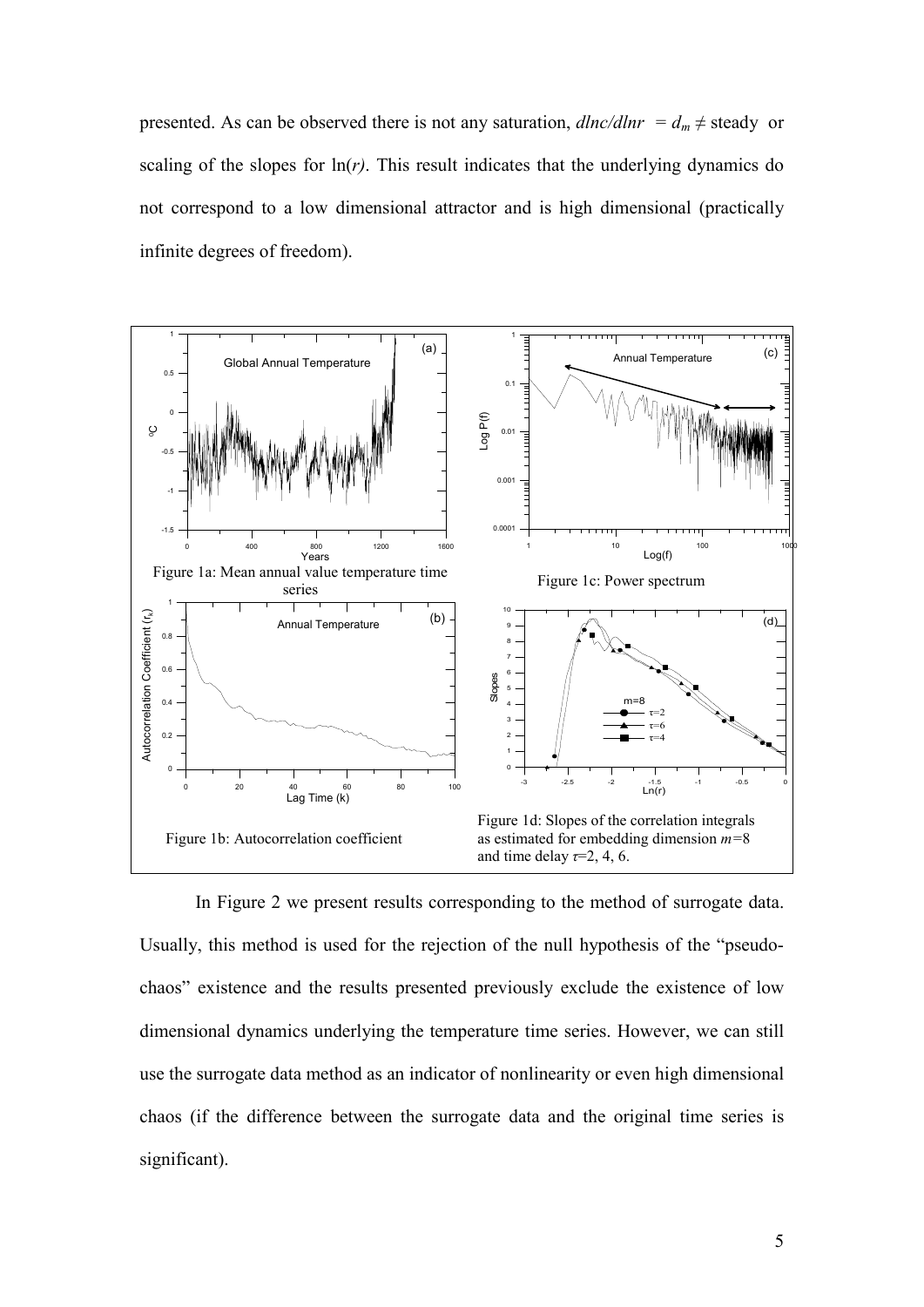presented. As can be observed there is not any saturation,  $dlnc/dlnr = d_m \ne$  steady or scaling of the slopes for  $\ln(r)$ . This result indicates that the underlying dynamics do not correspond to a low dimensional attractor and is high dimensional (practically infinite degrees of freedom).



In Figure 2 we present results corresponding to the method of surrogate data. Usually, this method is used for the rejection of the null hypothesis of the "pseudochaos" existence and the results presented previously exclude the existence of low dimensional dynamics underlying the temperature time series. However, we can still use the surrogate data method as an indicator of nonlinearity or even high dimensional chaos (if the difference between the surrogate data and the original time series is significant).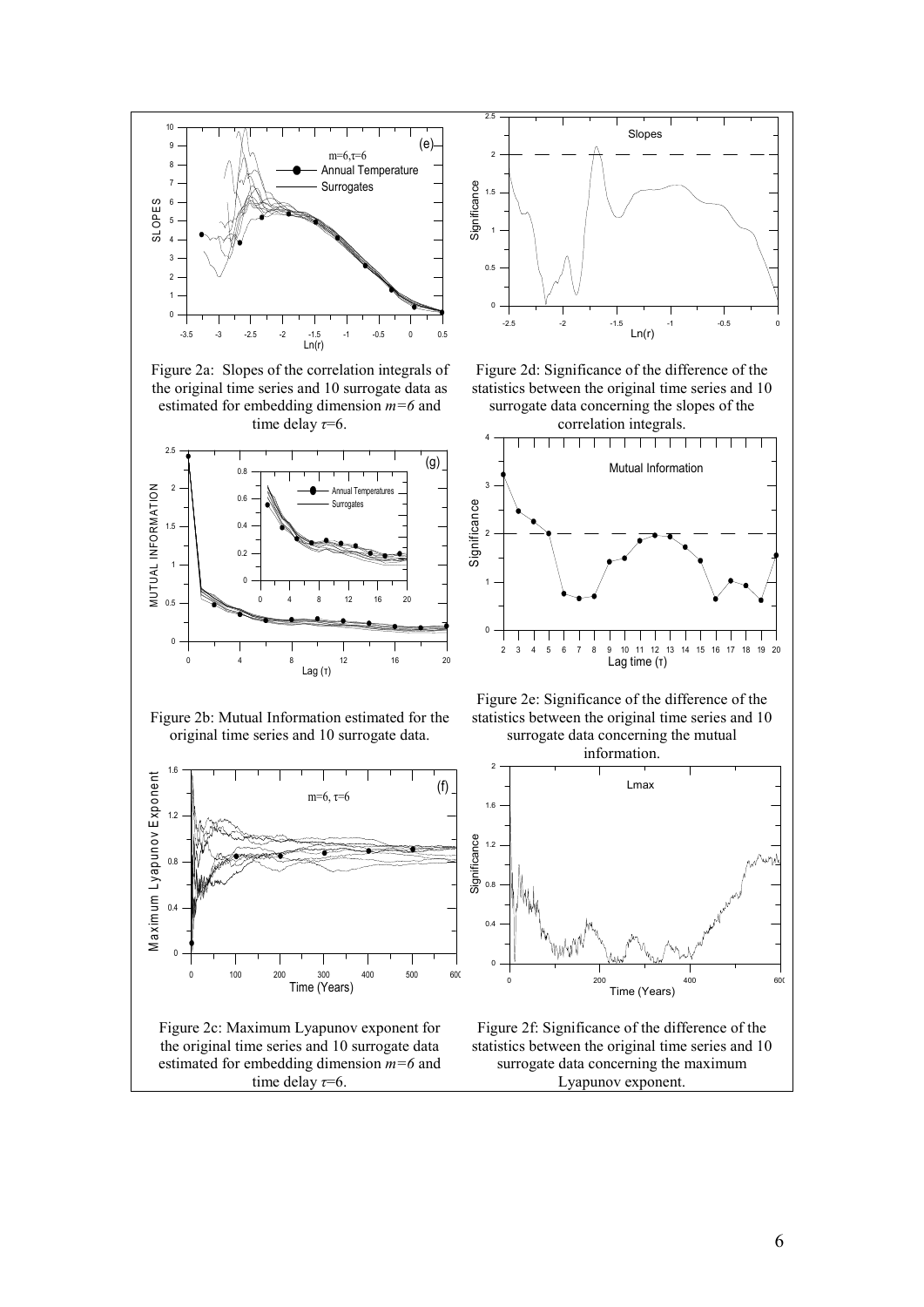

Figure 2a: Slopes of the correlation integrals of the original time series and 10 surrogate data as estimated for embedding dimension *m=6* and time delay *τ*=6.





Figure 2d: Significance of the difference of the statistics between the original time series and 10 surrogate data concerning the slopes of the





Figure 2b: Mutual Information estimated for the original time series and 10 surrogate data.



Figure 2c: Maximum Lyapunov exponent for the original time series and 10 surrogate data estimated for embedding dimension *m=6* and time delay  $\tau=6$ .

Figure 2e: Significance of the difference of the statistics between the original time series and 10 surrogate data concerning the mutual



Figure 2f: Significance of the difference of the statistics between the original time series and 10 surrogate data concerning the maximum Lyapunov exponent.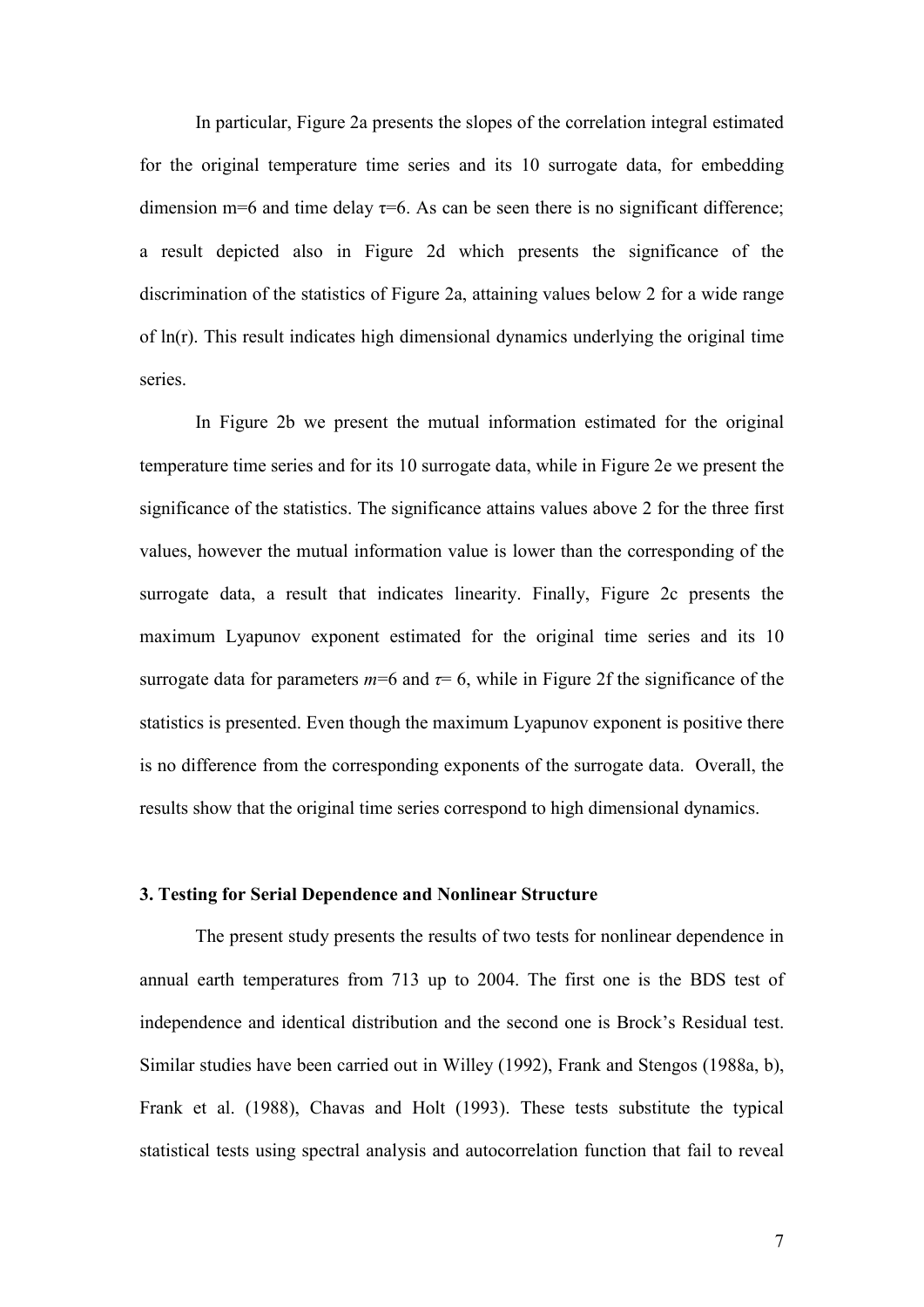In particular, Figure 2a presents the slopes of the correlation integral estimated for the original temperature time series and its 10 surrogate data, for embedding dimension m=6 and time delay  $\tau=6$ . As can be seen there is no significant difference; a result depicted also in Figure 2d which presents the significance of the discrimination of the statistics of Figure 2a, attaining values below 2 for a wide range of ln(r). This result indicates high dimensional dynamics underlying the original time series.

In Figure 2b we present the mutual information estimated for the original temperature time series and for its 10 surrogate data, while in Figure 2e we present the significance of the statistics. The significance attains values above 2 for the three first values, however the mutual information value is lower than the corresponding of the surrogate data, a result that indicates linearity. Finally, Figure 2c presents the maximum Lyapunov exponent estimated for the original time series and its 10 surrogate data for parameters  $m=6$  and  $\tau=6$ , while in Figure 2f the significance of the statistics is presented. Even though the maximum Lyapunov exponent is positive there is no difference from the corresponding exponents of the surrogate data. Overall, the results show that the original time series correspond to high dimensional dynamics.

#### 3. Testing for Serial Dependence and Nonlinear Structure

The present study presents the results of two tests for nonlinear dependence in annual earth temperatures from 713 up to 2004. The first one is the BDS test of independence and identical distribution and the second one is Brock's Residual test. Similar studies have been carried out in Willey (1992), Frank and Stengos (1988a, b), Frank et al. (1988), Chavas and Holt (1993). These tests substitute the typical statistical tests using spectral analysis and autocorrelation function that fail to reveal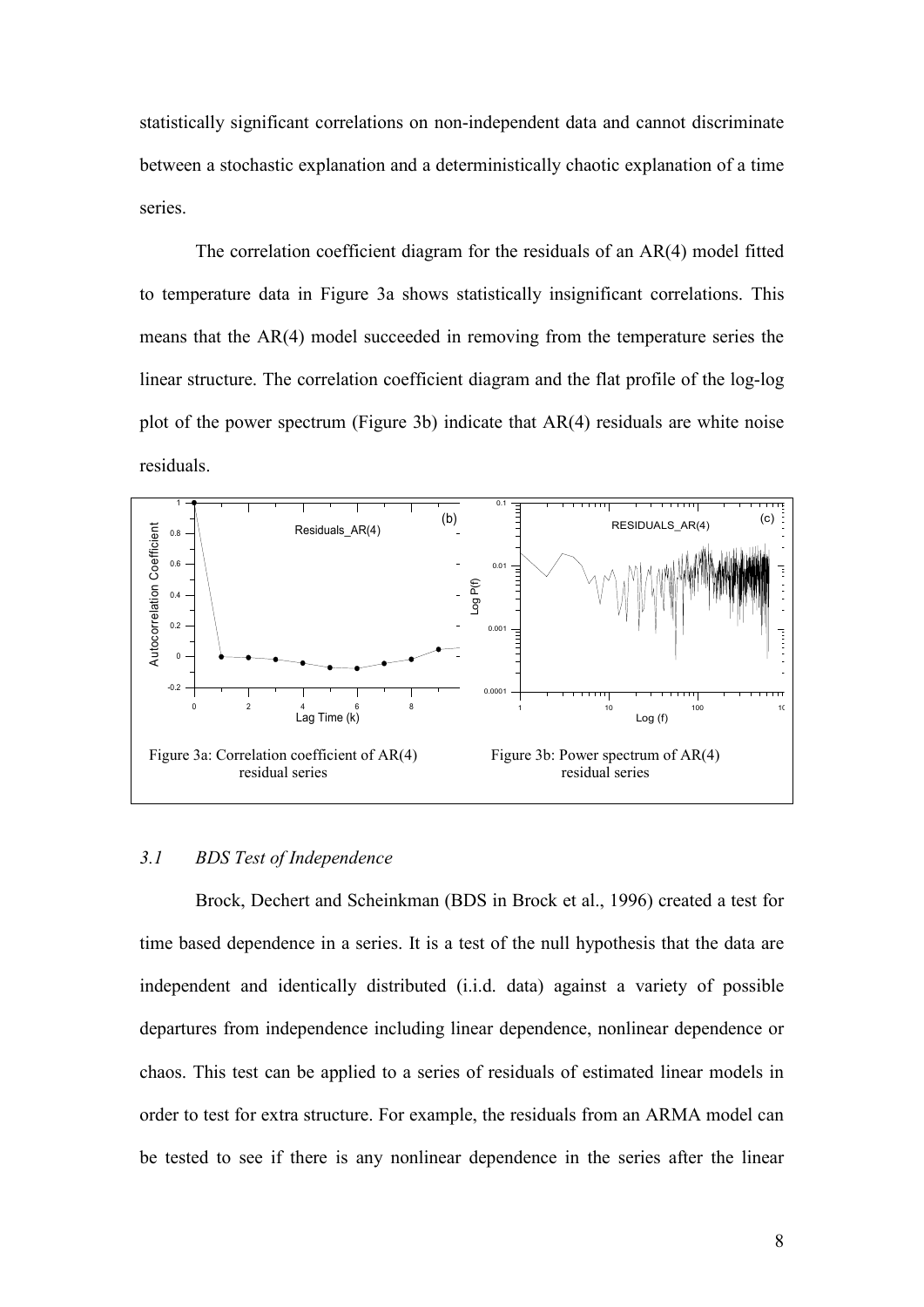statistically significant correlations on non-independent data and cannot discriminate between a stochastic explanation and a deterministically chaotic explanation of a time series.

The correlation coefficient diagram for the residuals of an AR(4) model fitted to temperature data in Figure 3a shows statistically insignificant correlations. This means that the AR(4) model succeeded in removing from the temperature series the linear structure. The correlation coefficient diagram and the flat profile of the log-log plot of the power spectrum (Figure 3b) indicate that AR(4) residuals are white noise residuals.



#### *3.1 BDS Test of Independence*

Brock, Dechert and Scheinkman (BDS in Brock et al., 1996) created a test for time based dependence in a series. It is a test of the null hypothesis that the data are independent and identically distributed (i.i.d. data) against a variety of possible departures from independence including linear dependence, nonlinear dependence or chaos. This test can be applied to a series of residuals of estimated linear models in order to test for extra structure. For example, the residuals from an ARMA model can be tested to see if there is any nonlinear dependence in the series after the linear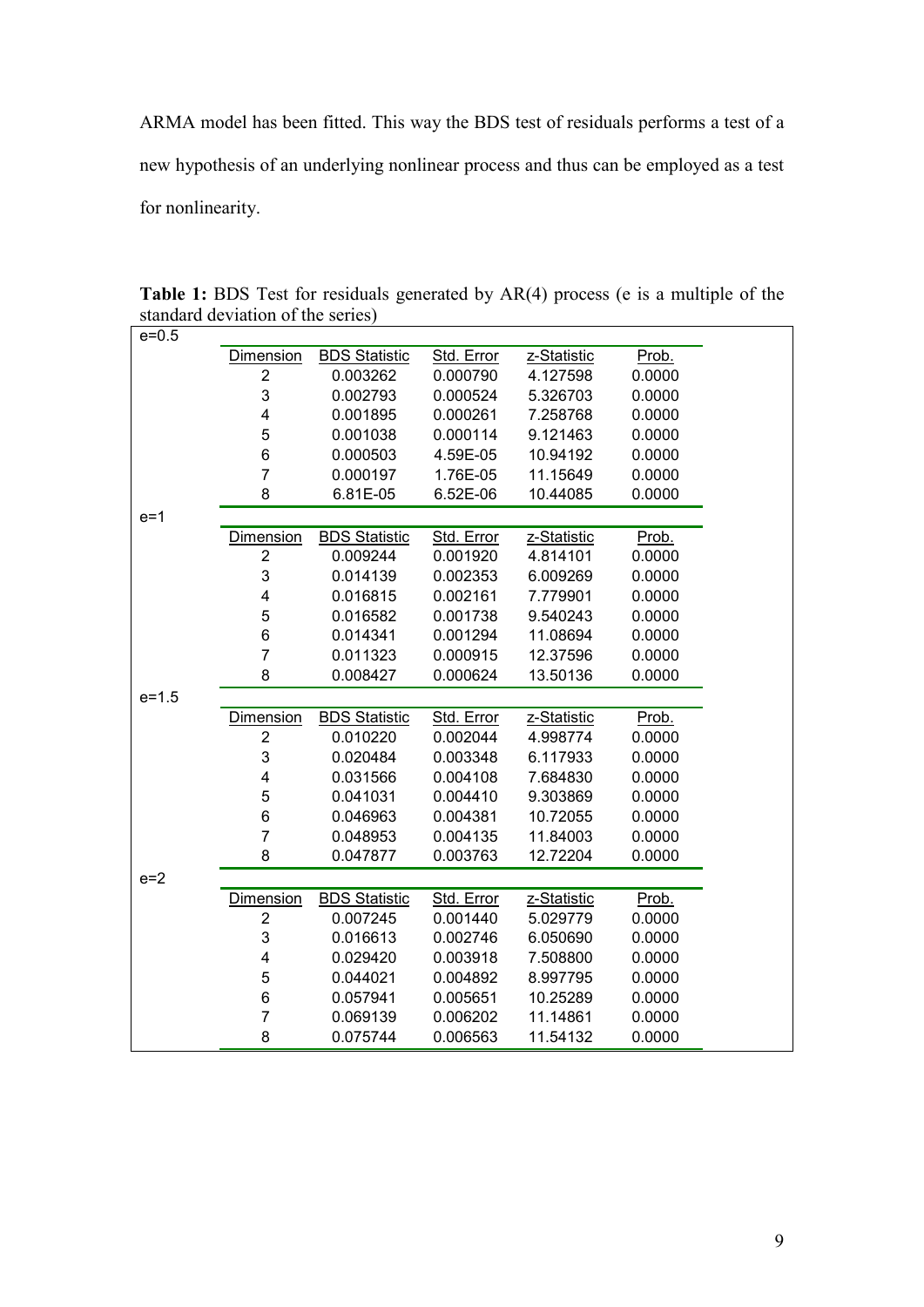ARMA model has been fitted. This way the BDS test of residuals performs a test of a new hypothesis of an underlying nonlinear process and thus can be employed as a test for nonlinearity.

| e=0.5     | $\frac{1}{2}$           |                      |            |             |        |
|-----------|-------------------------|----------------------|------------|-------------|--------|
|           | <b>Dimension</b>        | <b>BDS Statistic</b> | Std. Error | z-Statistic | Prob.  |
|           | $\overline{2}$          | 0.003262             | 0.000790   | 4.127598    | 0.0000 |
|           | 3                       | 0.002793             | 0.000524   | 5.326703    | 0.0000 |
|           | 4                       | 0.001895             | 0.000261   |             |        |
|           |                         |                      |            | 7.258768    | 0.0000 |
|           | 5                       | 0.001038             | 0.000114   | 9.121463    | 0.0000 |
|           | 6                       | 0.000503             | 4.59E-05   | 10.94192    | 0.0000 |
|           | $\overline{7}$          | 0.000197             | 1.76E-05   | 11.15649    | 0.0000 |
|           | 8                       | 6.81E-05             | 6.52E-06   | 10.44085    | 0.0000 |
| $e=1$     |                         |                      |            |             |        |
|           | <b>Dimension</b>        | <b>BDS Statistic</b> | Std. Error | z-Statistic | Prob.  |
|           | $\overline{2}$          | 0.009244             | 0.001920   | 4.814101    | 0.0000 |
|           | 3                       | 0.014139             | 0.002353   | 6.009269    | 0.0000 |
|           | 4                       | 0.016815             | 0.002161   | 7.779901    | 0.0000 |
|           | 5                       | 0.016582             | 0.001738   | 9.540243    | 0.0000 |
|           | 6                       | 0.014341             | 0.001294   | 11.08694    | 0.0000 |
|           | $\overline{7}$          | 0.011323             | 0.000915   | 12.37596    | 0.0000 |
|           | 8                       | 0.008427             | 0.000624   | 13.50136    | 0.0000 |
| $e = 1.5$ |                         |                      |            |             |        |
|           | <b>Dimension</b>        | <b>BDS Statistic</b> | Std. Error | z-Statistic | Prob.  |
|           | $\overline{2}$          | 0.010220             | 0.002044   | 4.998774    | 0.0000 |
|           | 3                       | 0.020484             | 0.003348   | 6.117933    | 0.0000 |
|           | $\overline{\mathbf{4}}$ | 0.031566             | 0.004108   | 7.684830    | 0.0000 |
|           | 5                       | 0.041031             | 0.004410   | 9.303869    | 0.0000 |
|           | 6                       | 0.046963             | 0.004381   | 10.72055    | 0.0000 |
|           | $\overline{7}$          | 0.048953             | 0.004135   | 11.84003    | 0.0000 |
|           | 8                       | 0.047877             | 0.003763   | 12.72204    | 0.0000 |
| $e=2$     |                         |                      |            |             |        |
|           | <b>Dimension</b>        | <b>BDS Statistic</b> | Std. Error | z-Statistic | Prob.  |
|           | $\overline{2}$          | 0.007245             | 0.001440   | 5.029779    | 0.0000 |
|           | 3                       | 0.016613             | 0.002746   | 6.050690    | 0.0000 |
|           | 4                       | 0.029420             | 0.003918   | 7.508800    | 0.0000 |
|           | 5                       | 0.044021             | 0.004892   | 8.997795    | 0.0000 |
|           | 6                       | 0.057941             | 0.005651   | 10.25289    | 0.0000 |
|           |                         |                      |            |             |        |
|           | 7                       | 0.069139             | 0.006202   | 11.14861    | 0.0000 |

**Table 1:** BDS Test for residuals generated by AR(4) process (e is a multiple of the standard deviation of the series)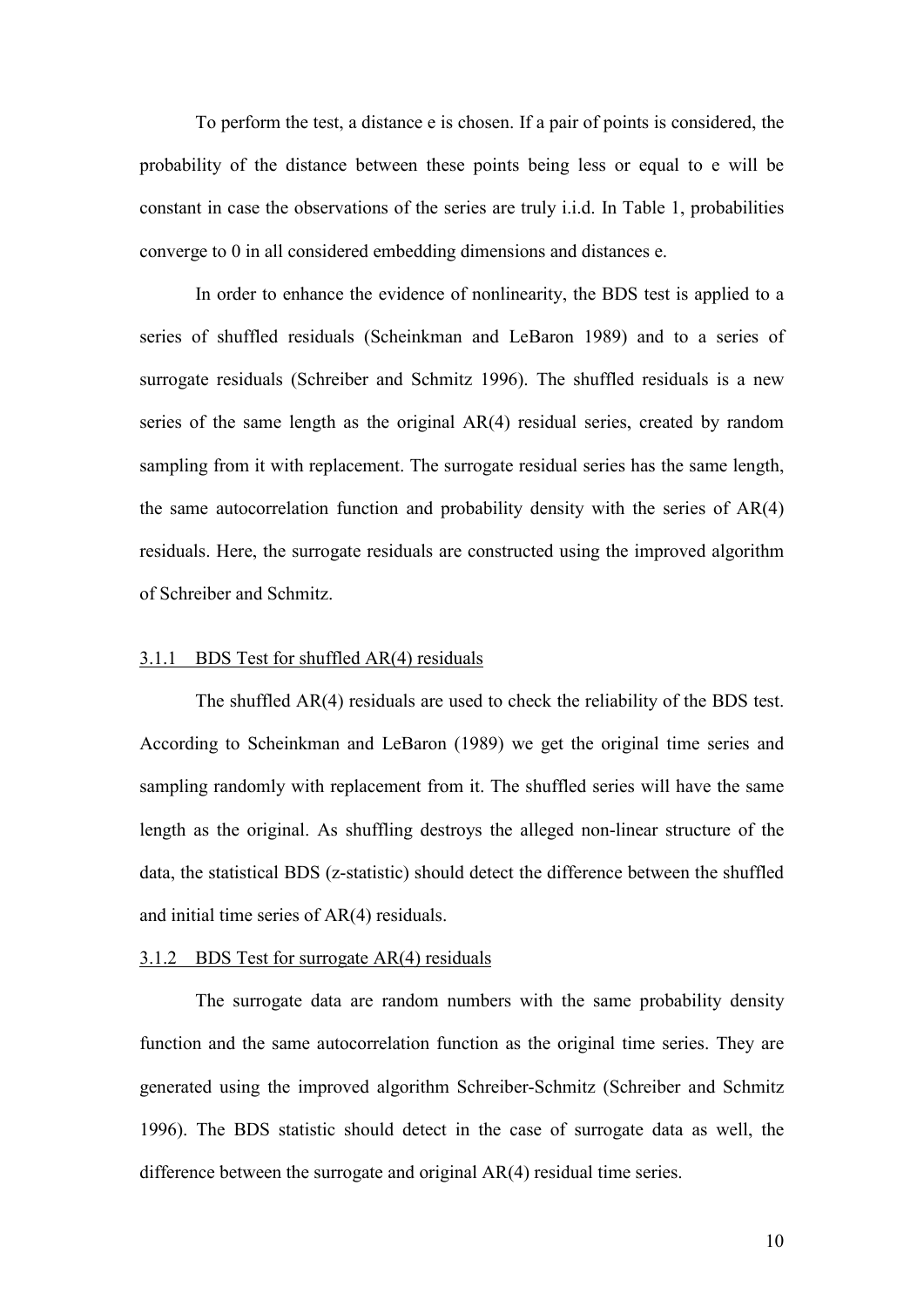To perform the test, a distance e is chosen. If a pair of points is considered, the probability of the distance between these points being less or equal to e will be constant in case the observations of the series are truly i.i.d. In Table 1, probabilities converge to 0 in all considered embedding dimensions and distances e.

In order to enhance the evidence of nonlinearity, the BDS test is applied to a series of shuffled residuals (Scheinkman and LeBaron 1989) and to a series of surrogate residuals (Schreiber and Schmitz 1996). The shuffled residuals is a new series of the same length as the original AR(4) residual series, created by random sampling from it with replacement. The surrogate residual series has the same length, the same autocorrelation function and probability density with the series of AR(4) residuals. Here, the surrogate residuals are constructed using the improved algorithm of Schreiber and Schmitz.

#### 3.1.1 BDS Test for shuffled AR(4) residuals

The shuffled AR(4) residuals are used to check the reliability of the BDS test. According to Scheinkman and LeBaron (1989) we get the original time series and sampling randomly with replacement from it. The shuffled series will have the same length as the original. As shuffling destroys the alleged non-linear structure of the data, the statistical BDS (z-statistic) should detect the difference between the shuffled and initial time series of AR(4) residuals.

#### 3.1.2 BDS Test for surrogate AR(4) residuals

The surrogate data are random numbers with the same probability density function and the same autocorrelation function as the original time series. They are generated using the improved algorithm Schreiber-Schmitz (Schreiber and Schmitz 1996). The BDS statistic should detect in the case of surrogate data as well, the difference between the surrogate and original AR(4) residual time series.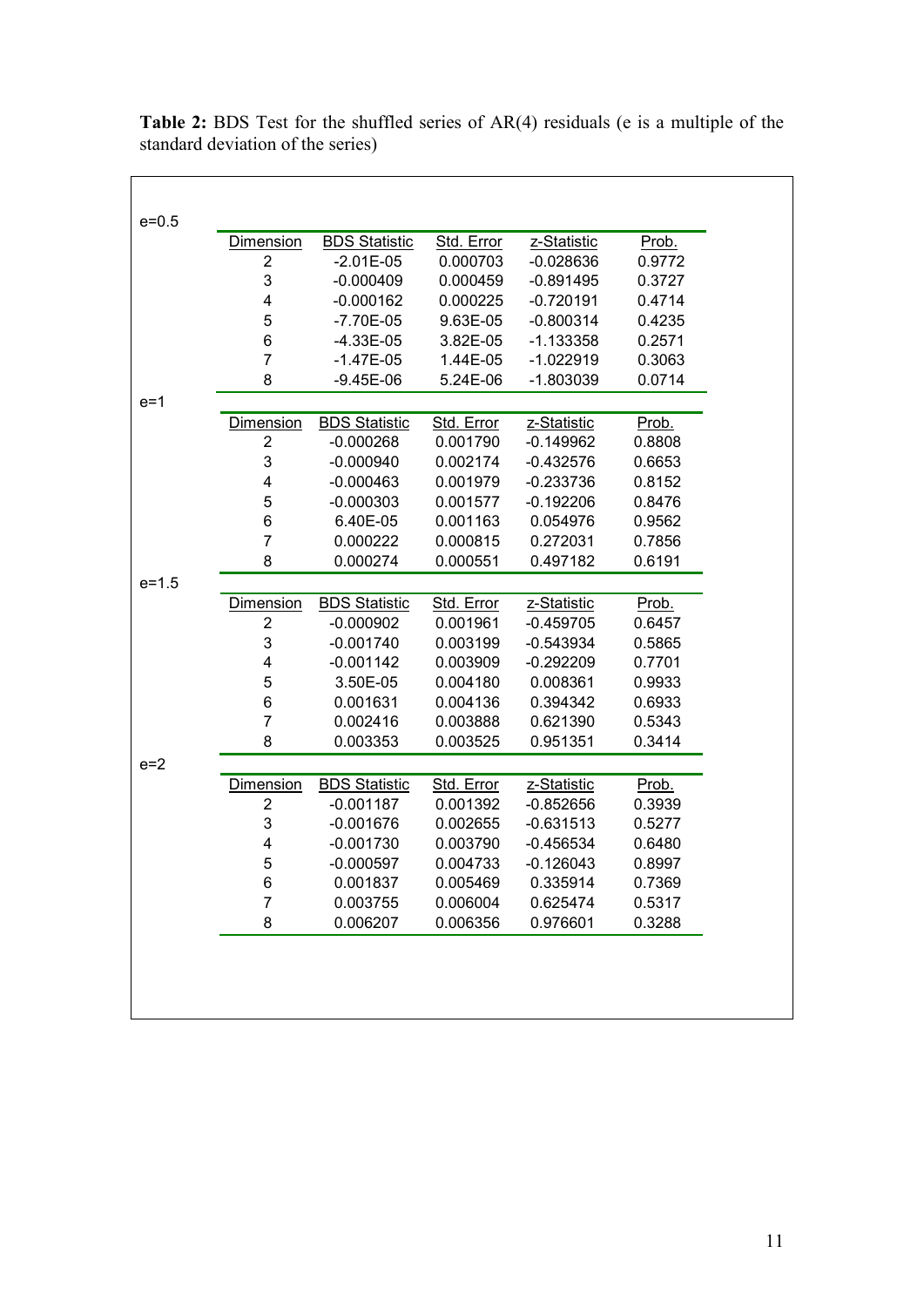|           | Dimension                 | <b>BDS Statistic</b> | Std. Error | z-Statistic | Prob.  |
|-----------|---------------------------|----------------------|------------|-------------|--------|
|           | $\overline{\mathbf{c}}$   | $-2.01E-05$          | 0.000703   | $-0.028636$ | 0.9772 |
|           | $\ensuremath{\mathsf{3}}$ | $-0.000409$          | 0.000459   | $-0.891495$ | 0.3727 |
|           | $\overline{\mathbf{4}}$   | $-0.000162$          | 0.000225   | $-0.720191$ | 0.4714 |
|           | $\mathbf 5$               | $-7.70E-05$          | 9.63E-05   | $-0.800314$ | 0.4235 |
|           | 6                         | $-4.33E-05$          | 3.82E-05   | $-1.133358$ | 0.2571 |
|           | $\overline{7}$            | $-1.47E-05$          | 1.44E-05   | $-1.022919$ | 0.3063 |
|           | 8                         | $-9.45E-06$          | 5.24E-06   | $-1.803039$ | 0.0714 |
| $e=1$     |                           |                      |            |             |        |
|           | Dimension                 | <b>BDS Statistic</b> | Std. Error | z-Statistic | Prob.  |
|           | $\overline{\mathbf{c}}$   | $-0.000268$          | 0.001790   | $-0.149962$ | 0.8808 |
|           | $\ensuremath{\mathsf{3}}$ | $-0.000940$          | 0.002174   | $-0.432576$ | 0.6653 |
|           | 4                         | $-0.000463$          | 0.001979   | $-0.233736$ | 0.8152 |
|           | 5                         | $-0.000303$          | 0.001577   | $-0.192206$ | 0.8476 |
|           | 6                         | 6.40E-05             | 0.001163   | 0.054976    | 0.9562 |
|           | $\overline{7}$            | 0.000222             | 0.000815   | 0.272031    | 0.7856 |
|           | 8                         | 0.000274             | 0.000551   | 0.497182    | 0.6191 |
| $e = 1.5$ |                           |                      |            |             |        |
|           | <b>Dimension</b>          | <b>BDS Statistic</b> | Std. Error | z-Statistic | Prob.  |
|           | $\overline{2}$            | $-0.000902$          | 0.001961   | $-0.459705$ | 0.6457 |
|           | 3                         | $-0.001740$          | 0.003199   | $-0.543934$ | 0.5865 |
|           | $\overline{\mathbf{4}}$   | $-0.001142$          | 0.003909   | $-0.292209$ | 0.7701 |
|           | 5                         | 3.50E-05             | 0.004180   | 0.008361    | 0.9933 |
|           | 6                         | 0.001631             | 0.004136   | 0.394342    | 0.6933 |
|           | $\overline{7}$            | 0.002416             | 0.003888   | 0.621390    | 0.5343 |
|           | 8                         | 0.003353             | 0.003525   | 0.951351    | 0.3414 |
| $e=2$     |                           |                      |            |             |        |
|           | <b>Dimension</b>          | <b>BDS Statistic</b> | Std. Error | z-Statistic | Prob.  |
|           | $\overline{2}$            | $-0.001187$          | 0.001392   | $-0.852656$ | 0.3939 |
|           | $\ensuremath{\mathsf{3}}$ | $-0.001676$          | 0.002655   | $-0.631513$ | 0.5277 |
|           | 4                         | $-0.001730$          | 0.003790   | $-0.456534$ | 0.6480 |
|           | 5                         | $-0.000597$          | 0.004733   | $-0.126043$ | 0.8997 |
|           | 6                         | 0.001837             | 0.005469   | 0.335914    | 0.7369 |
|           | 7                         | 0.003755             | 0.006004   | 0.625474    | 0.5317 |
|           | 8                         | 0.006207             | 0.006356   | 0.976601    | 0.3288 |

**Table 2:** BDS Test for the shuffled series of AR(4) residuals (e is a multiple of the standard deviation of the series)

 $\overline{\phantom{a}}$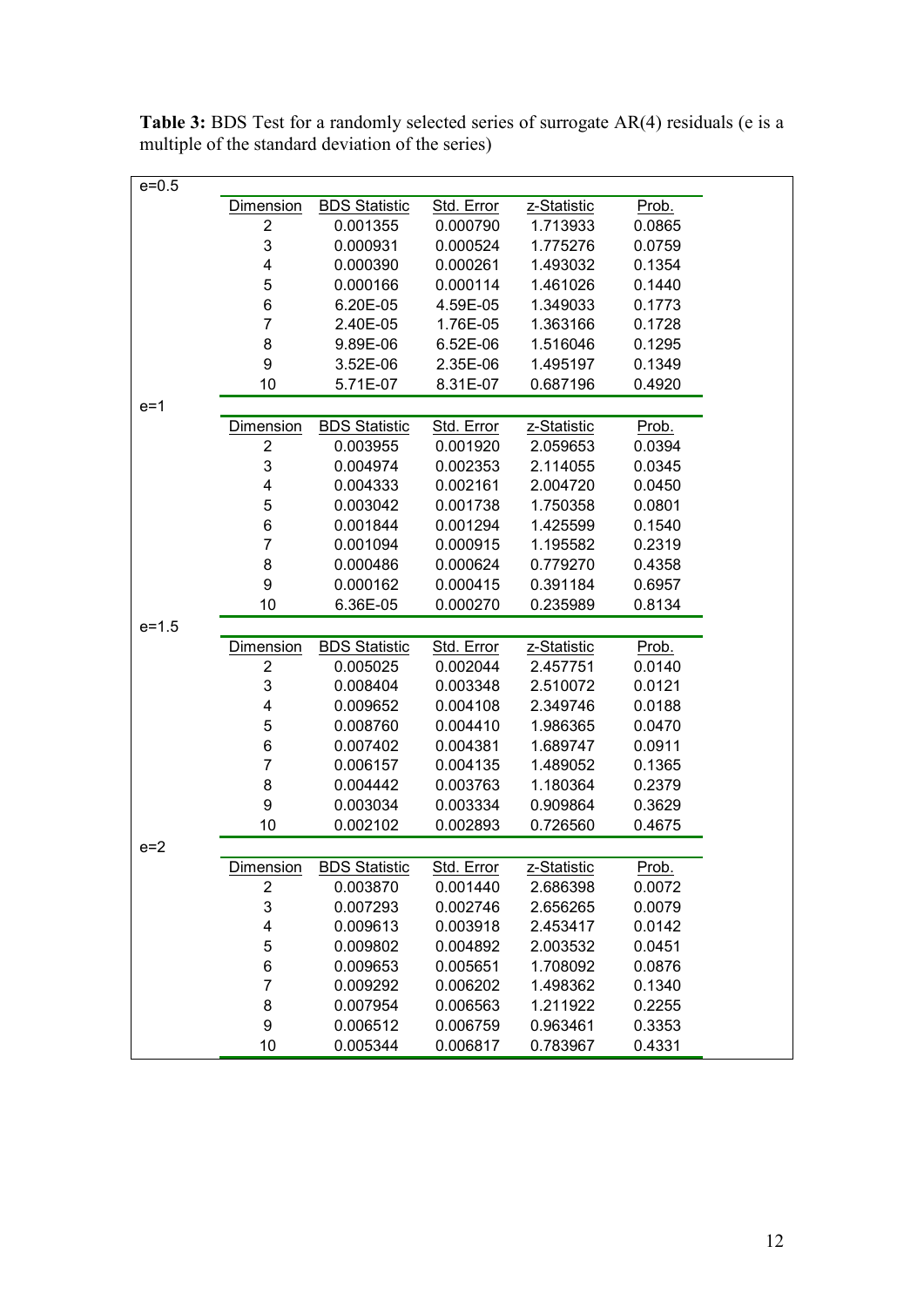| $e = 0.5$<br><b>BDS Statistic</b><br>Dimension<br>Std. Error<br>z-Statistic<br>Prob.<br>2<br>0.001355<br>0.000790<br>1.713933<br>0.0865<br>3<br>0.000931<br>0.000524<br>1.775276<br>0.0759 |
|--------------------------------------------------------------------------------------------------------------------------------------------------------------------------------------------|
|                                                                                                                                                                                            |
|                                                                                                                                                                                            |
|                                                                                                                                                                                            |
|                                                                                                                                                                                            |
| 4<br>0.000390<br>0.000261<br>1.493032<br>0.1354                                                                                                                                            |
| 5<br>0.000166<br>0.000114<br>1.461026<br>0.1440                                                                                                                                            |
| $\,6$<br>6.20E-05<br>4.59E-05<br>1.349033<br>0.1773                                                                                                                                        |
| $\overline{7}$<br>1.76E-05<br>1.363166<br>2.40E-05<br>0.1728                                                                                                                               |
| 8<br>6.52E-06<br>9.89E-06<br>1.516046<br>0.1295                                                                                                                                            |
| 9<br>2.35E-06<br>3.52E-06<br>1.495197<br>0.1349                                                                                                                                            |
| 10<br>5.71E-07<br>8.31E-07<br>0.687196<br>0.4920                                                                                                                                           |
| $e=1$                                                                                                                                                                                      |
| <b>BDS Statistic</b><br>Prob.<br><b>Dimension</b><br>Std. Error<br>z-Statistic                                                                                                             |
| 2<br>0.003955<br>0.001920<br>2.059653<br>0.0394                                                                                                                                            |
| 3<br>0.004974<br>0.002353<br>2.114055<br>0.0345                                                                                                                                            |
| 4<br>0.004333<br>0.002161<br>2.004720<br>0.0450                                                                                                                                            |
| 5<br>0.003042<br>0.001738<br>1.750358<br>0.0801                                                                                                                                            |
| 6<br>0.1540<br>0.001844<br>0.001294<br>1.425599                                                                                                                                            |
| $\overline{7}$<br>0.001094<br>0.000915<br>1.195582<br>0.2319                                                                                                                               |
| 8<br>0.000486<br>0.000624<br>0.779270<br>0.4358                                                                                                                                            |
| 9<br>0.000162<br>0.000415<br>0.391184<br>0.6957                                                                                                                                            |
| 10<br>6.36E-05<br>0.000270<br>0.235989<br>0.8134                                                                                                                                           |
| $e = 1.5$                                                                                                                                                                                  |
| <b>Dimension</b><br><b>BDS Statistic</b><br>Std. Error<br>z-Statistic<br>Prob.                                                                                                             |
| $\overline{2}$<br>0.005025<br>0.002044<br>2.457751<br>0.0140                                                                                                                               |
| 3<br>0.008404<br>0.003348<br>2.510072<br>0.0121                                                                                                                                            |
| 4<br>0.009652<br>0.004108<br>2.349746<br>0.0188                                                                                                                                            |
| 5<br>0.008760<br>0.004410<br>1.986365<br>0.0470                                                                                                                                            |
| 6<br>0.007402<br>0.004381<br>1.689747<br>0.0911                                                                                                                                            |
| $\overline{7}$<br>0.006157<br>0.004135<br>1.489052<br>0.1365                                                                                                                               |
| 8<br>0.004442<br>0.003763<br>1.180364<br>0.2379                                                                                                                                            |
| 9<br>0.003034<br>0.003334<br>0.909864<br>0.3629                                                                                                                                            |
| 10<br>0.002102<br>0.726560<br>0.002893<br>0.4675                                                                                                                                           |
| $e=2$                                                                                                                                                                                      |
|                                                                                                                                                                                            |
|                                                                                                                                                                                            |
| <b>BDS Statistic</b><br>Std. Error<br>z-Statistic<br>Prob.<br><b>Dimension</b><br>2<br>0.003870<br>0.001440<br>2.686398<br>0.0072                                                          |
| 0.007293<br>0.002746<br>2.656265<br>0.0079                                                                                                                                                 |
| 3<br>4<br>0.009613<br>0.003918<br>2.453417<br>0.0142                                                                                                                                       |
| 0.009802<br>0.004892<br>2.003532<br>0.0451                                                                                                                                                 |
| 5<br>6<br>1.708092<br>0.009653<br>0.005651<br>0.0876                                                                                                                                       |
| $\overline{7}$<br>0.009292<br>0.006202<br>1.498362<br>0.1340                                                                                                                               |
| 0.007954<br>0.006563<br>1.211922<br>0.2255                                                                                                                                                 |
| 8<br>9<br>0.006512<br>0.006759<br>0.963461<br>0.3353                                                                                                                                       |

**Table 3:** BDS Test for a randomly selected series of surrogate AR(4) residuals (e is a multiple of the standard deviation of the series)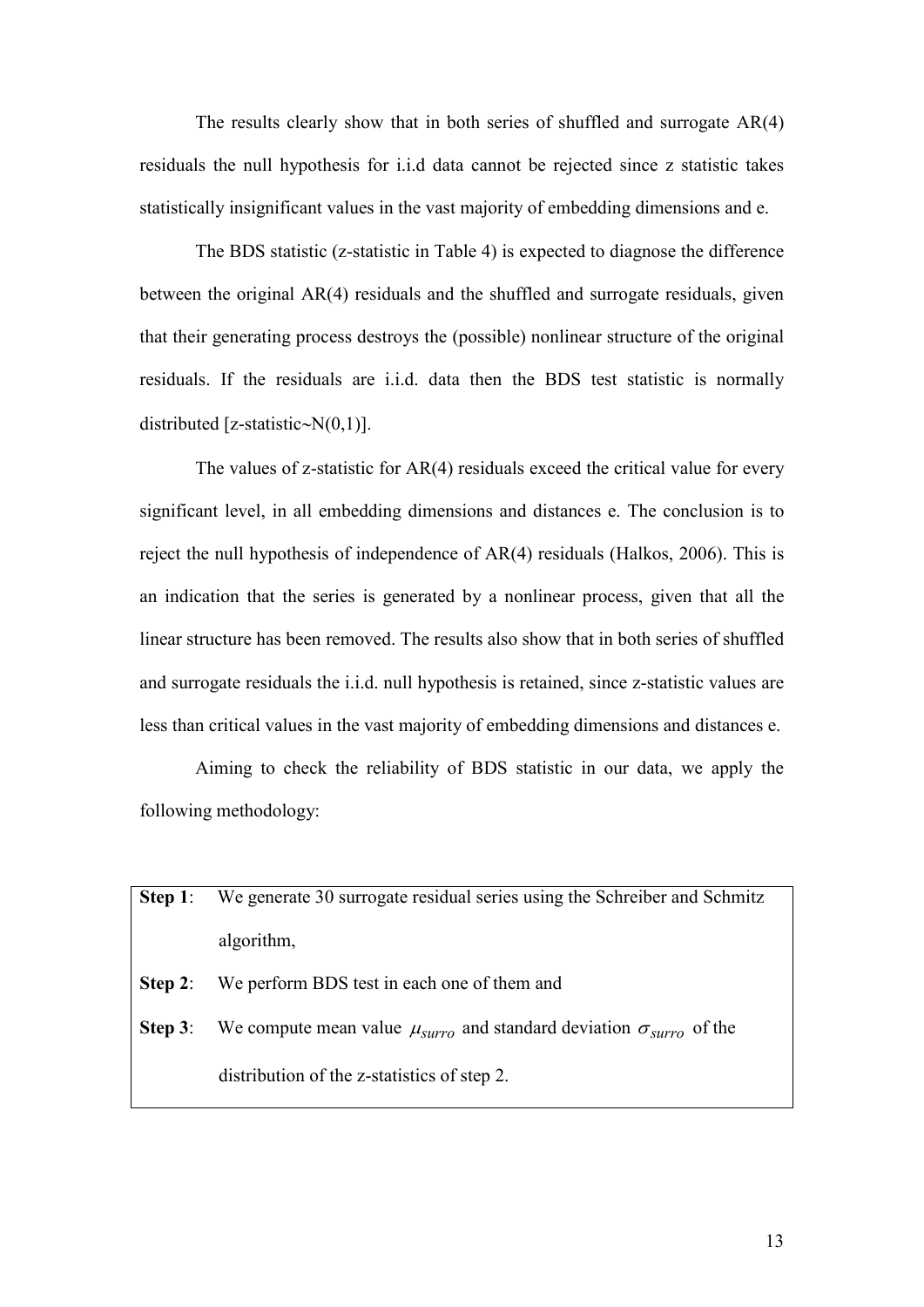The results clearly show that in both series of shuffled and surrogate AR(4) residuals the null hypothesis for i.i.d data cannot be rejected since z statistic takes statistically insignificant values in the vast majority of embedding dimensions and e.

The BDS statistic ( $z$ -statistic in Table 4) is expected to diagnose the difference between the original AR(4) residuals and the shuffled and surrogate residuals, given that their generating process destroys the (possible) nonlinear structure of the original residuals. If the residuals are i.i.d. data then the BDS test statistic is normally distributed [z-statistic∼N $(0,1)$ ].

The values of z-statistic for  $AR(4)$  residuals exceed the critical value for every significant level, in all embedding dimensions and distances e. The conclusion is to reject the null hypothesis of independence of AR(4) residuals (Halkos, 2006). This is an indication that the series is generated by a nonlinear process, given that all the linear structure has been removed. The results also show that in both series of shuffled and surrogate residuals the i.i.d. null hypothesis is retained, since z-statistic values are less than critical values in the vast majority of embedding dimensions and distances e.

Aiming to check the reliability of BDS statistic in our data, we apply the following methodology:

| Step 1:    | We generate 30 surrogate residual series using the Schreiber and Schmitz                         |
|------------|--------------------------------------------------------------------------------------------------|
|            | algorithm,                                                                                       |
| Step 2:    | We perform BDS test in each one of them and                                                      |
| Step $3$ : | We compute mean value $\mu_{\text{surro}}$ and standard deviation $\sigma_{\text{surro}}$ of the |
|            | distribution of the z-statistics of step 2.                                                      |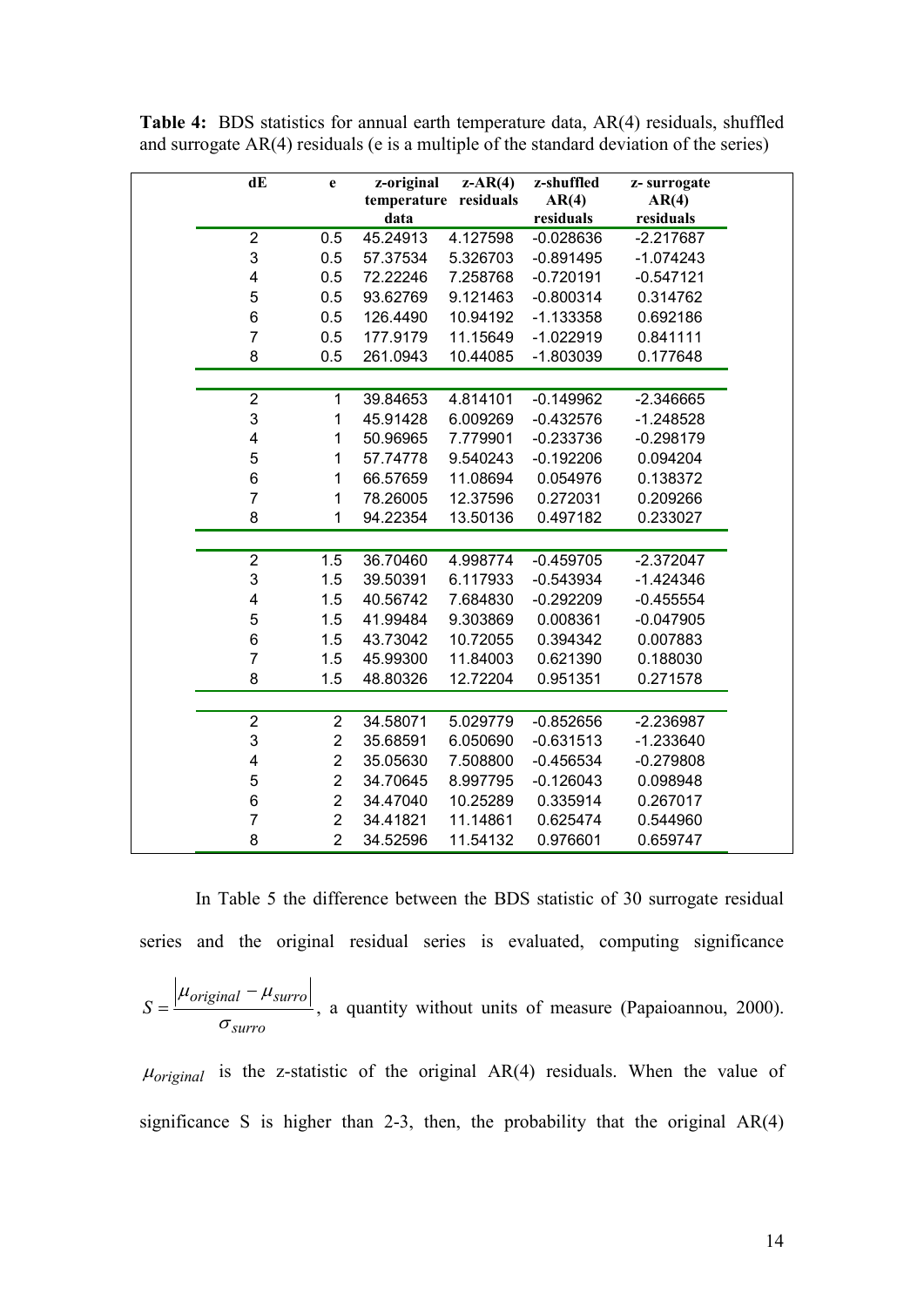| dE                      | e              | z-original | $z-AR(4)$             | z-shuffled  |                      |
|-------------------------|----------------|------------|-----------------------|-------------|----------------------|
|                         |                |            | temperature residuals | AR(4)       | z-surrogate<br>AR(4) |
|                         |                | data       |                       | residuals   | residuals            |
| $\overline{2}$          | 0.5            | 45.24913   | 4.127598              | $-0.028636$ | $-2.217687$          |
| 3                       | 0.5            | 57.37534   | 5.326703              | $-0.891495$ | $-1.074243$          |
| $\overline{\mathbf{4}}$ | 0.5            | 72.22246   | 7.258768              | $-0.720191$ | $-0.547121$          |
| 5                       | 0.5            | 93.62769   | 9.121463              | $-0.800314$ | 0.314762             |
| 6                       | 0.5            | 126.4490   | 10.94192              | $-1.133358$ | 0.692186             |
| $\overline{7}$          | 0.5            | 177.9179   | 11.15649              | $-1.022919$ | 0.841111             |
| 8                       | 0.5            | 261.0943   | 10.44085              | $-1.803039$ | 0.177648             |
|                         |                |            |                       |             |                      |
| $\overline{2}$          | $\mathbf 1$    | 39.84653   | 4.814101              | $-0.149962$ | $-2.346665$          |
| 3                       | $\mathbf{1}$   | 45.91428   | 6.009269              | $-0.432576$ | $-1.248528$          |
| 4                       | 1              | 50.96965   | 7.779901              | $-0.233736$ | $-0.298179$          |
| 5                       | 1              | 57.74778   | 9.540243              | $-0.192206$ | 0.094204             |
| 6                       | 1              | 66.57659   | 11.08694              | 0.054976    | 0.138372             |
| $\overline{7}$          | $\mathbf{1}$   | 78.26005   | 12.37596              | 0.272031    | 0.209266             |
| 8                       | $\mathbf{1}$   | 94.22354   | 13.50136              | 0.497182    | 0.233027             |
|                         |                |            |                       |             |                      |
| $\overline{\mathbf{c}}$ | 1.5            | 36.70460   | 4.998774              | $-0.459705$ | $-2.372047$          |
| 3                       | 1.5            | 39.50391   | 6.117933              | $-0.543934$ | $-1.424346$          |
| 4                       | 1.5            | 40.56742   | 7.684830              | $-0.292209$ | $-0.455554$          |
| 5                       | 1.5            | 41.99484   | 9.303869              | 0.008361    | $-0.047905$          |
| 6                       | 1.5            | 43.73042   | 10.72055              | 0.394342    | 0.007883             |
| $\overline{7}$          | 1.5            | 45.99300   | 11.84003              | 0.621390    | 0.188030             |
| 8                       | 1.5            | 48.80326   | 12.72204              | 0.951351    | 0.271578             |
|                         |                |            |                       |             |                      |
| $\overline{2}$          | $\overline{2}$ | 34.58071   | 5.029779              | $-0.852656$ | $-2.236987$          |
| 3                       | $\overline{2}$ | 35.68591   | 6.050690              | $-0.631513$ | $-1.233640$          |
| $\overline{\mathbf{4}}$ | $\overline{c}$ | 35.05630   | 7.508800              | $-0.456534$ | $-0.279808$          |
| 5                       | $\overline{2}$ | 34.70645   | 8.997795              | $-0.126043$ | 0.098948             |
| 6                       | $\overline{2}$ | 34.47040   | 10.25289              | 0.335914    | 0.267017             |
| $\overline{7}$          | $\overline{2}$ | 34.41821   | 11.14861              | 0.625474    | 0.544960             |
| 8                       | $\overline{2}$ | 34.52596   | 11.54132              | 0.976601    | 0.659747             |

**Table 4:** BDS statistics for annual earth temperature data, AR(4) residuals, shuffled and surrogate AR(4) residuals (e is a multiple of the standard deviation of the series)

In Table 5 the difference between the BDS statistic of 30 surrogate residual series and the original residual series is evaluated, computing significance

$$
S = \frac{|\mu_{original} - \mu_{surro}|}{\sigma_{surro}},
$$
 a quantity without units of measure (Papaioannou, 2000).

 $\mu_{original}$  is the z-statistic of the original AR(4) residuals. When the value of significance S is higher than 2-3, then, the probability that the original  $AR(4)$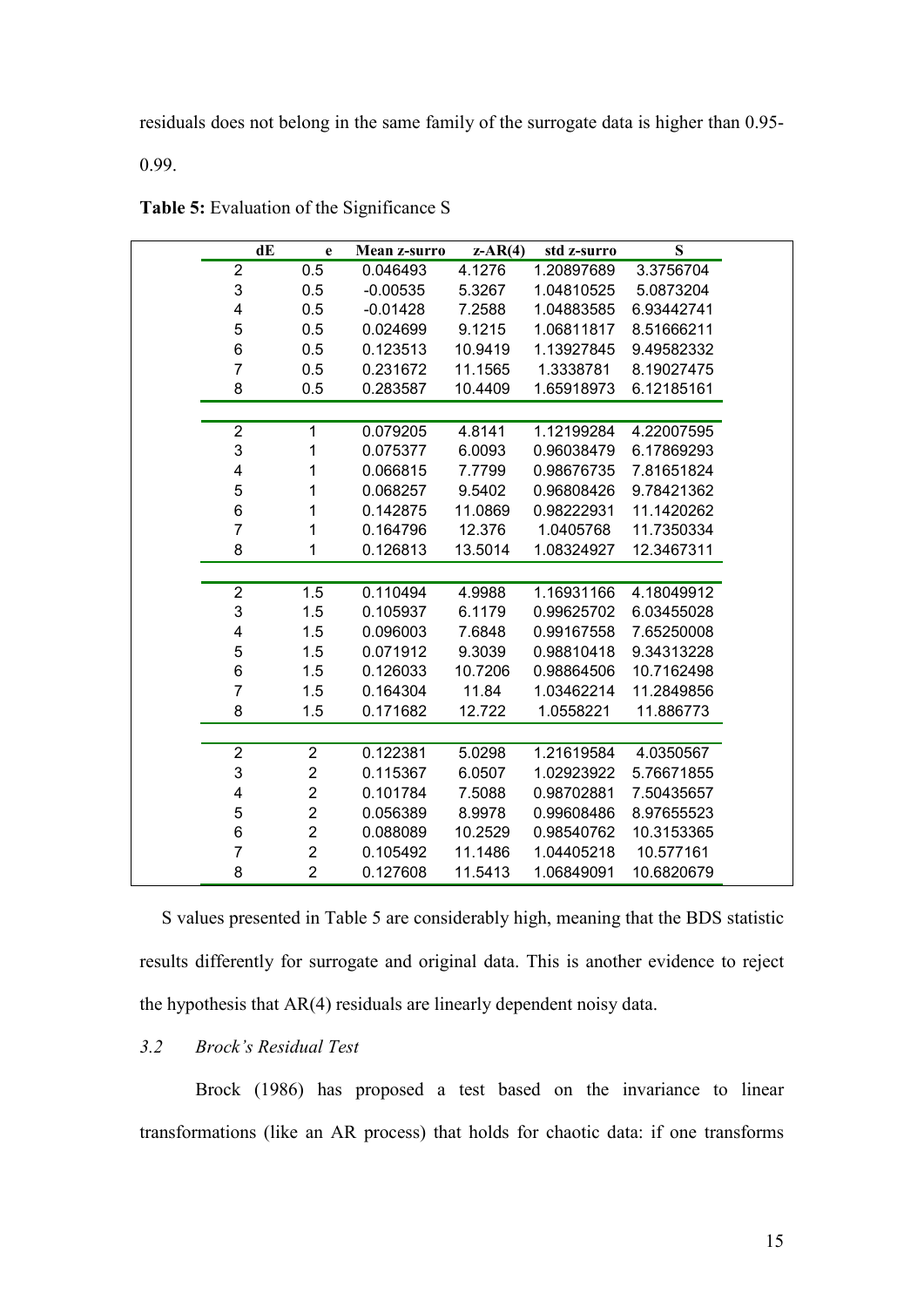residuals does not belong in the same family of the surrogate data is higher than 0.95-

0.99.

|                         | dE<br>$\mathbf e$       | Mean z-surro | $z-AR(4)$ | std z-surro | S          |  |
|-------------------------|-------------------------|--------------|-----------|-------------|------------|--|
| $\overline{\mathbf{c}}$ | 0.5                     | 0.046493     | 4.1276    | 1.20897689  | 3.3756704  |  |
| 3                       | 0.5                     | $-0.00535$   | 5.3267    | 1.04810525  | 5.0873204  |  |
| $\overline{\mathbf{4}}$ | 0.5                     | $-0.01428$   | 7.2588    | 1.04883585  | 6.93442741 |  |
| 5                       | 0.5                     | 0.024699     | 9.1215    | 1.06811817  | 8.51666211 |  |
| 6                       | 0.5                     | 0.123513     | 10.9419   | 1.13927845  | 9.49582332 |  |
| $\overline{7}$          | 0.5                     | 0.231672     | 11.1565   | 1.3338781   | 8.19027475 |  |
| 8                       | 0.5                     | 0.283587     | 10.4409   | 1.65918973  | 6.12185161 |  |
|                         |                         |              |           |             |            |  |
| $\overline{c}$          | 1                       | 0.079205     | 4.8141    | 1.12199284  | 4.22007595 |  |
| 3                       | 1                       | 0.075377     | 6.0093    | 0.96038479  | 6.17869293 |  |
| 4                       | 1                       | 0.066815     | 7.7799    | 0.98676735  | 7.81651824 |  |
| 5                       | 1                       | 0.068257     | 9.5402    | 0.96808426  | 9.78421362 |  |
| $\boldsymbol{6}$        | 1                       | 0.142875     | 11.0869   | 0.98222931  | 11.1420262 |  |
| $\overline{7}$          | 1                       | 0.164796     | 12.376    | 1.0405768   | 11.7350334 |  |
| 8                       | 1                       | 0.126813     | 13.5014   | 1.08324927  | 12.3467311 |  |
|                         |                         |              |           |             |            |  |
| $\overline{\mathbf{c}}$ | 1.5                     | 0.110494     | 4.9988    | 1.16931166  | 4.18049912 |  |
| 3                       | 1.5                     | 0.105937     | 6.1179    | 0.99625702  | 6.03455028 |  |
| 4                       | 1.5                     | 0.096003     | 7.6848    | 0.99167558  | 7.65250008 |  |
| 5                       | 1.5                     | 0.071912     | 9.3039    | 0.98810418  | 9.34313228 |  |
| $\,6$                   | 1.5                     | 0.126033     | 10.7206   | 0.98864506  | 10.7162498 |  |
| $\overline{7}$          | 1.5                     | 0.164304     | 11.84     | 1.03462214  | 11.2849856 |  |
| 8                       | 1.5                     | 0.171682     | 12.722    | 1.0558221   | 11.886773  |  |
|                         |                         |              |           |             |            |  |
| $\overline{\mathbf{c}}$ | 2                       | 0.122381     | 5.0298    | 1.21619584  | 4.0350567  |  |
| 3                       | $\overline{\mathbf{c}}$ | 0.115367     | 6.0507    | 1.02923922  | 5.76671855 |  |
| $\overline{\mathbf{4}}$ | $\overline{\mathbf{c}}$ | 0.101784     | 7.5088    | 0.98702881  | 7.50435657 |  |
| 5                       | $\overline{\mathbf{c}}$ | 0.056389     | 8.9978    | 0.99608486  | 8.97655523 |  |
| $\,6$                   | $\overline{\mathbf{c}}$ | 0.088089     | 10.2529   | 0.98540762  | 10.3153365 |  |
| $\overline{7}$          | $\overline{\mathbf{c}}$ | 0.105492     | 11.1486   | 1.04405218  | 10.577161  |  |
| 8                       | $\overline{2}$          | 0.127608     | 11.5413   | 1.06849091  | 10.6820679 |  |

Table 5: Evaluation of the Significance S

S values presented in Table 5 are considerably high, meaning that the BDS statistic results differently for surrogate and original data. This is another evidence to reject the hypothesis that AR(4) residuals are linearly dependent noisy data.

## *3.2 Brock's Residual Test*

Brock (1986) has proposed a test based on the invariance to linear transformations (like an AR process) that holds for chaotic data: if one transforms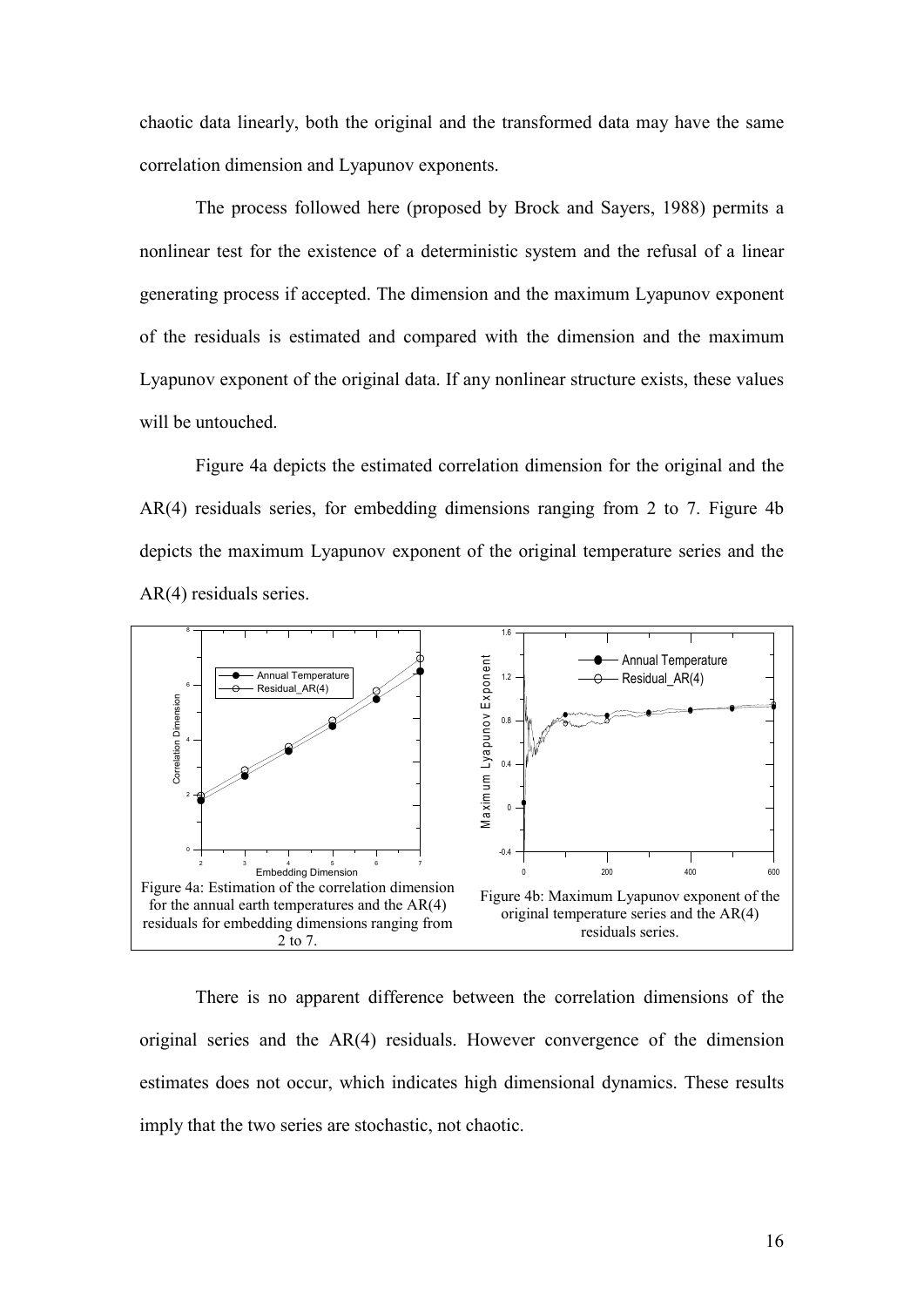chaotic data linearly, both the original and the transformed data may have the same correlation dimension and Lyapunov exponents.

The process followed here (proposed by Brock and Sayers, 1988) permits a nonlinear test for the existence of a deterministic system and the refusal of a linear generating process if accepted. The dimension and the maximum Lyapunov exponent of the residuals is estimated and compared with the dimension and the maximum Lyapunov exponent of the original data. If any nonlinear structure exists, these values will be untouched.

Figure 4a depicts the estimated correlation dimension for the original and the AR(4) residuals series, for embedding dimensions ranging from 2 to 7. Figure 4b depicts the maximum Lyapunov exponent of the original temperature series and the AR(4) residuals series.



There is no apparent difference between the correlation dimensions of the original series and the AR(4) residuals. However convergence of the dimension estimates does not occur, which indicates high dimensional dynamics. These results imply that the two series are stochastic, not chaotic.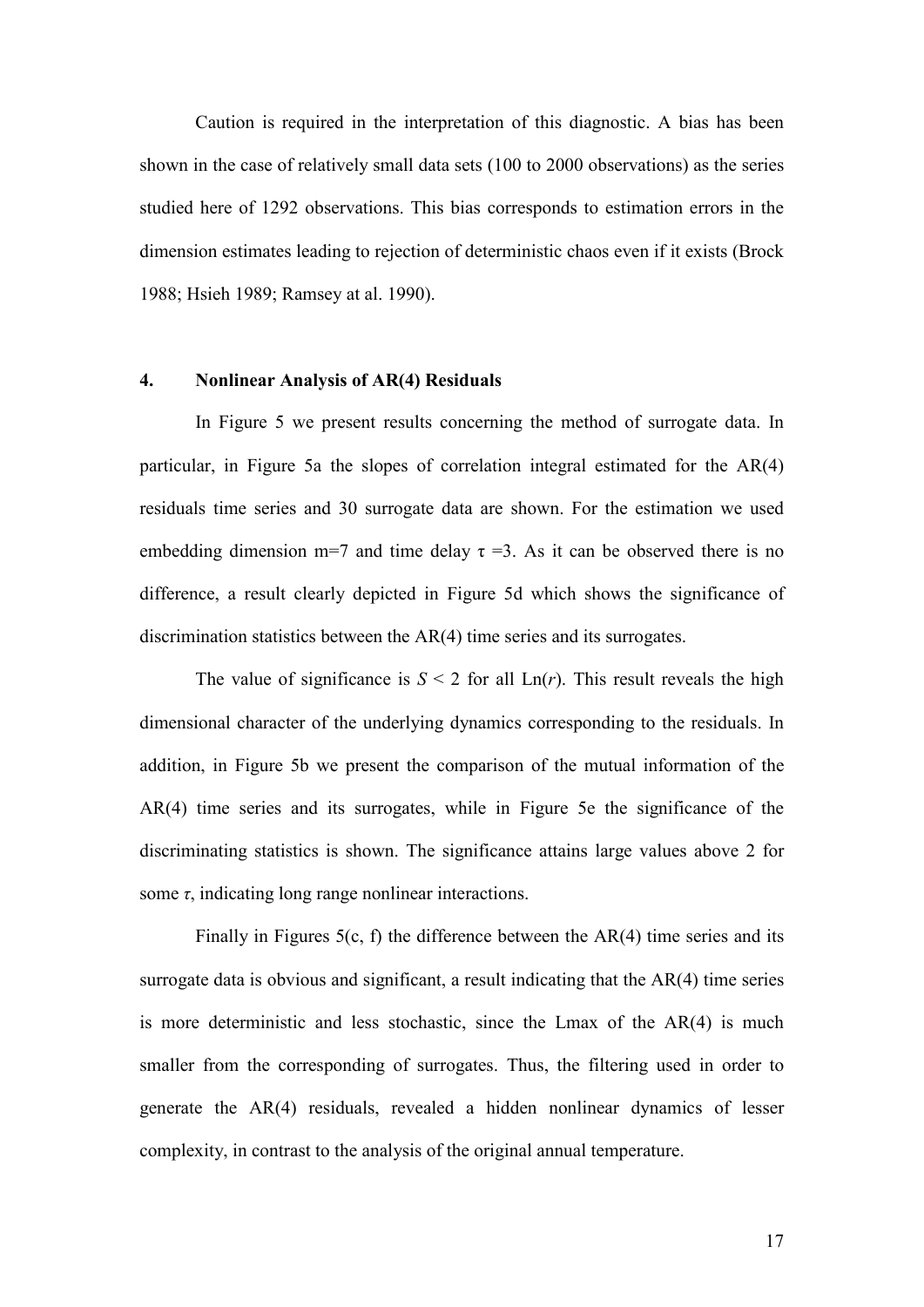Caution is required in the interpretation of this diagnostic. A bias has been shown in the case of relatively small data sets (100 to 2000 observations) as the series studied here of 1292 observations. This bias corresponds to estimation errors in the dimension estimates leading to rejection of deterministic chaos even if it exists (Brock 1988; Hsieh 1989; Ramsey at al. 1990).

#### 4. Nonlinear Analysis of AR(4) Residuals

In Figure 5 we present results concerning the method of surrogate data. In particular, in Figure 5a the slopes of correlation integral estimated for the AR(4) residuals time series and 30 surrogate data are shown. For the estimation we used embedding dimension m=7 and time delay  $\tau = 3$ . As it can be observed there is no difference, a result clearly depicted in Figure 5d which shows the significance of discrimination statistics between the AR(4) time series and its surrogates.

The value of significance is  $S < 2$  for all  $Ln(r)$ . This result reveals the high dimensional character of the underlying dynamics corresponding to the residuals. In addition, in Figure 5b we present the comparison of the mutual information of the AR(4) time series and its surrogates, while in Figure 5e the significance of the discriminating statistics is shown. The significance attains large values above 2 for some  $\tau$ , indicating long range nonlinear interactions.

Finally in Figures 5(c, f) the difference between the AR(4) time series and its surrogate data is obvious and significant, a result indicating that the AR(4) time series is more deterministic and less stochastic, since the Lmax of the AR(4) is much smaller from the corresponding of surrogates. Thus, the filtering used in order to generate the AR(4) residuals, revealed a hidden nonlinear dynamics of lesser complexity, in contrast to the analysis of the original annual temperature.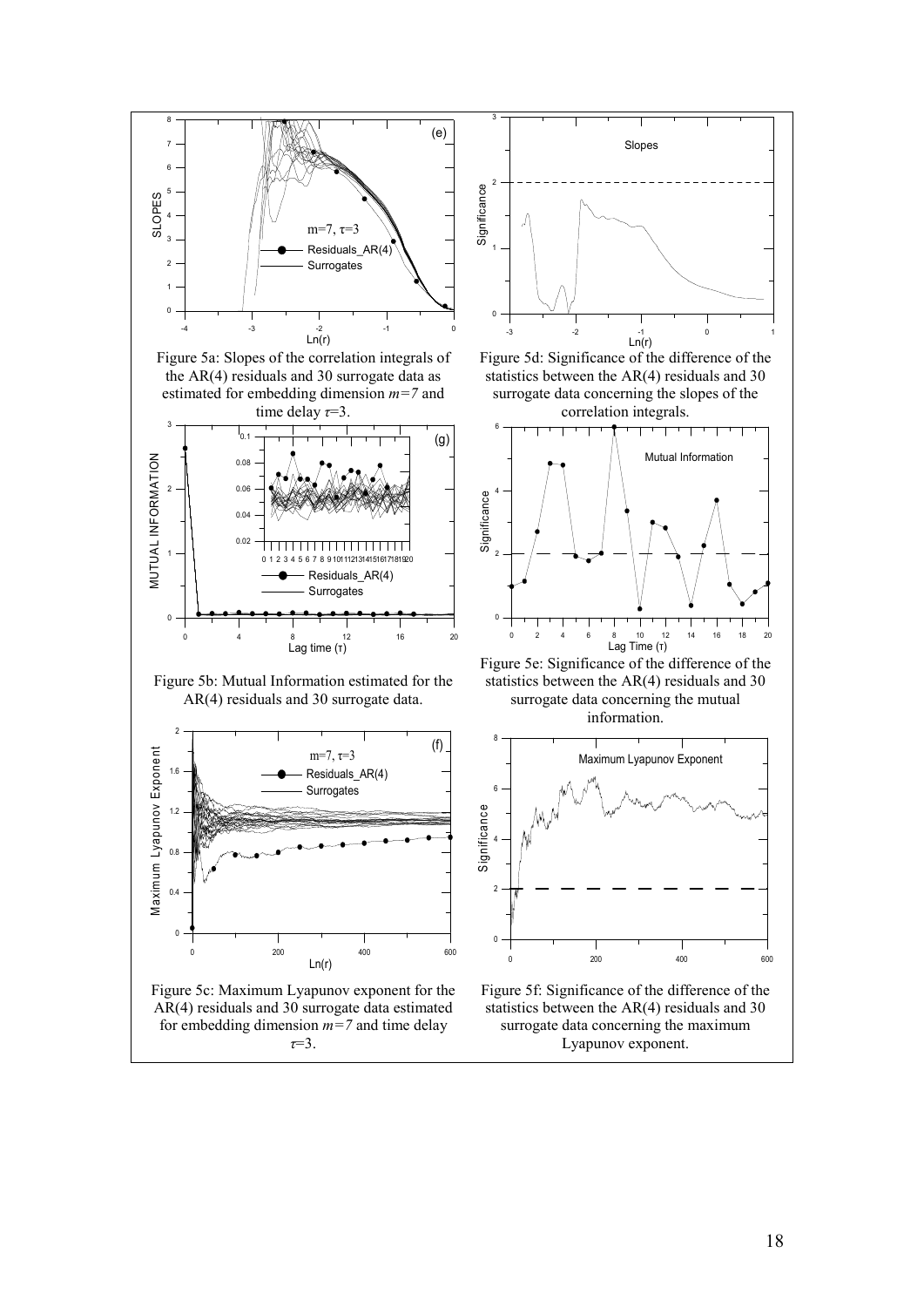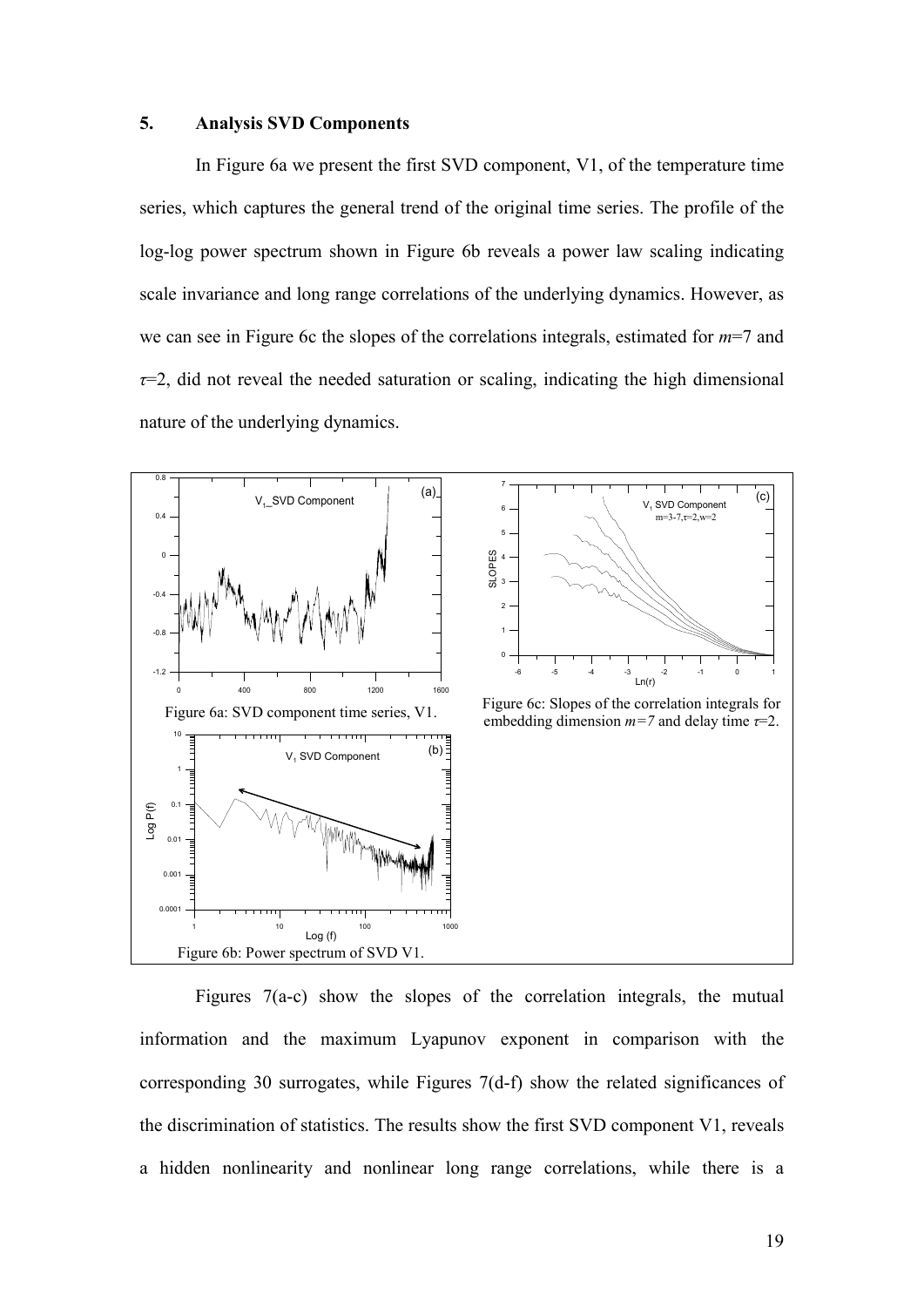#### 5. Analysis SVD Components

In Figure 6a we present the first SVD component, V1, of the temperature time series, which captures the general trend of the original time series. The profile of the log-log power spectrum shown in Figure 6b reveals a power law scaling indicating scale invariance and long range correlations of the underlying dynamics. However, as we can see in Figure 6c the slopes of the correlations integrals, estimated for *m*=7 and *τ*=2, did not reveal the needed saturation or scaling, indicating the high dimensional nature of the underlying dynamics.



Figures  $7(a-c)$  show the slopes of the correlation integrals, the mutual information and the maximum Lyapunov exponent in comparison with the corresponding 30 surrogates, while Figures  $7(d-f)$  show the related significances of the discrimination of statistics. The results show the first SVD component V1, reveals a hidden nonlinearity and nonlinear long range correlations, while there is a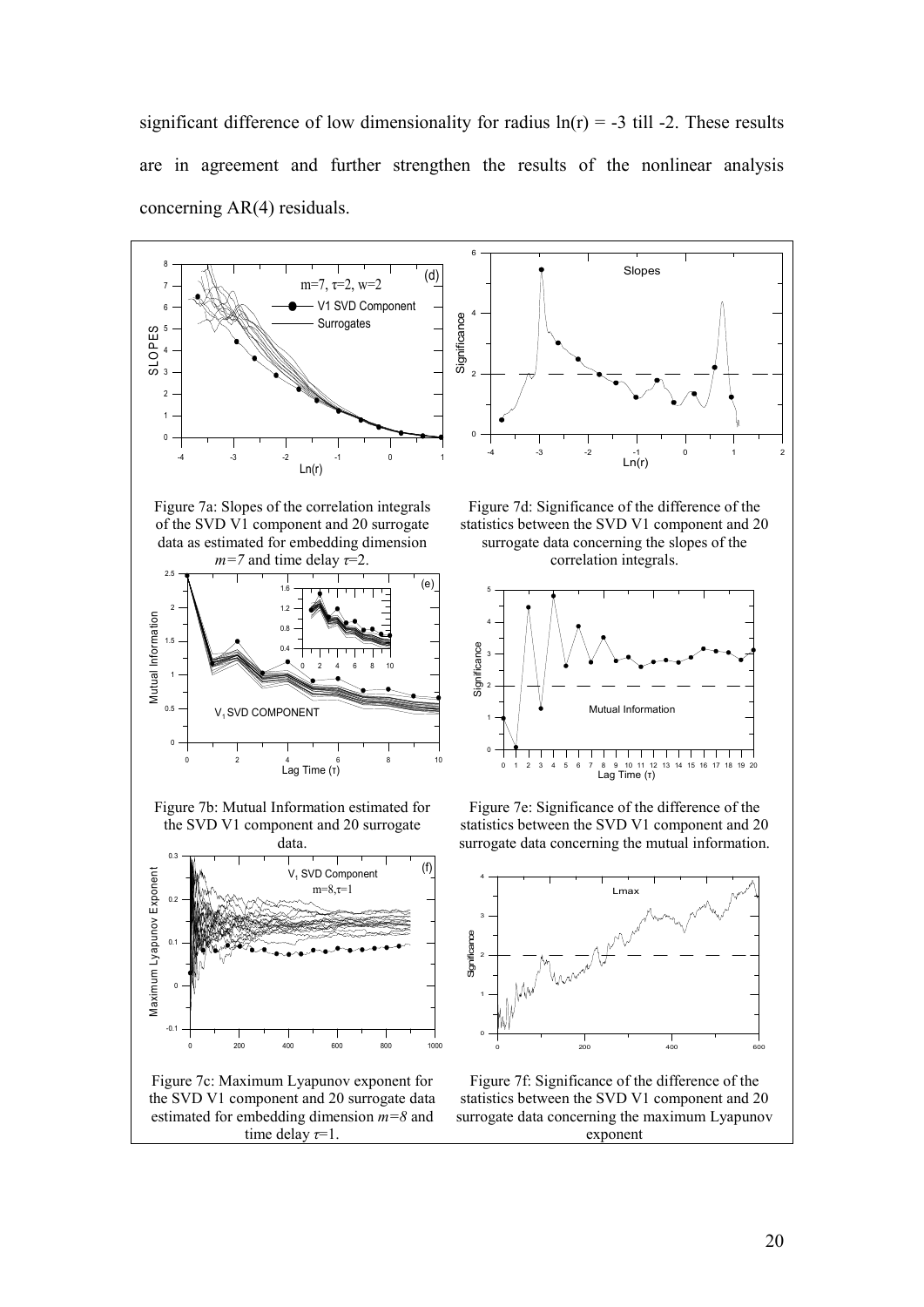significant difference of low dimensionality for radius  $ln(r) = -3$  till -2. These results are in agreement and further strengthen the results of the nonlinear analysis concerning AR(4) residuals.

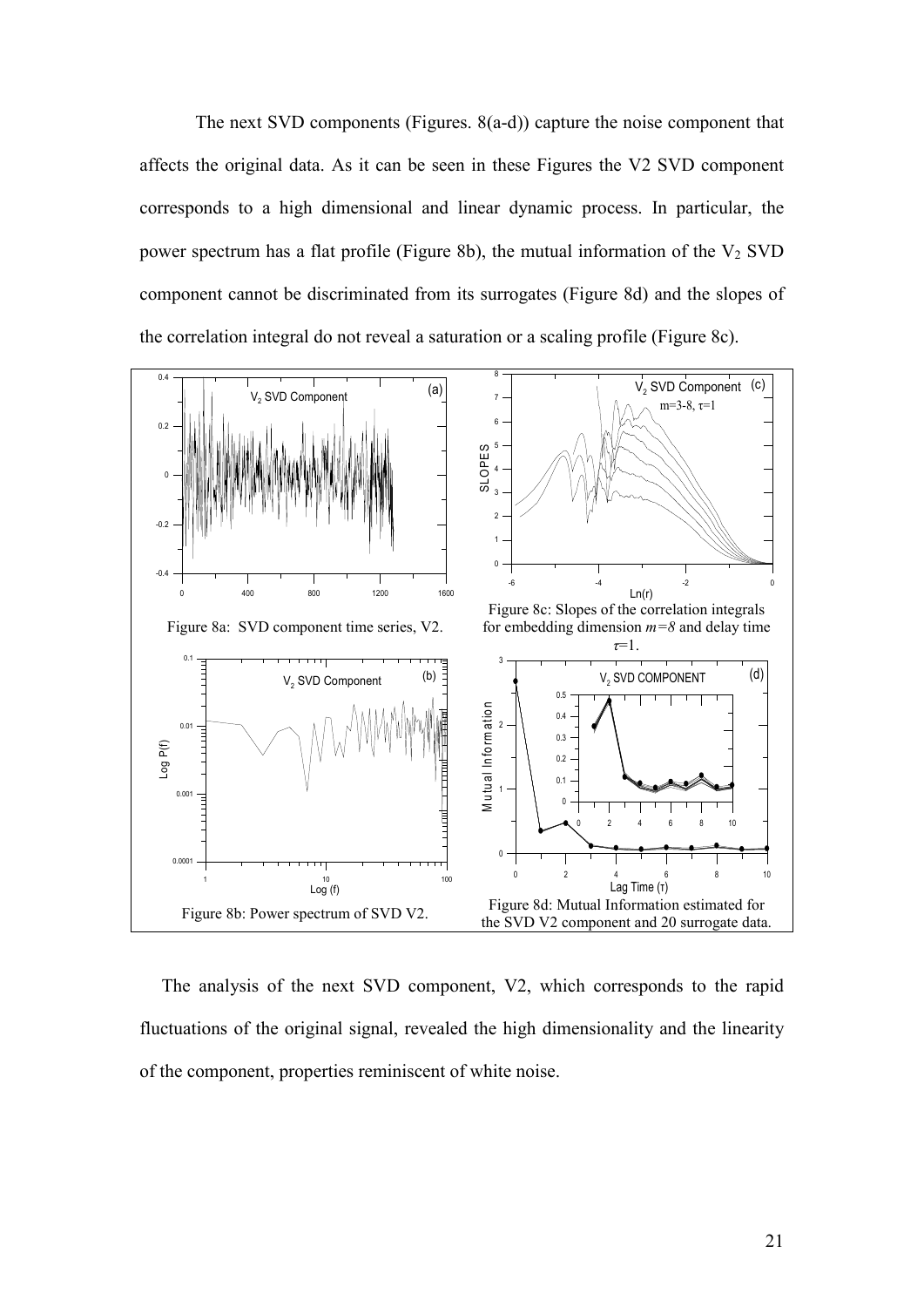The next SVD components (Figures.  $8(a-d)$ ) capture the noise component that affects the original data. As it can be seen in these Figures the V2 SVD component corresponds to a high dimensional and linear dynamic process. In particular, the power spectrum has a flat profile (Figure 8b), the mutual information of the  $V_2$  SVD component cannot be discriminated from its surrogates (Figure 8d) and the slopes of the correlation integral do not reveal a saturation or a scaling profile (Figure 8c).



The analysis of the next SVD component, V2, which corresponds to the rapid fluctuations of the original signal, revealed the high dimensionality and the linearity of the component, properties reminiscent of white noise.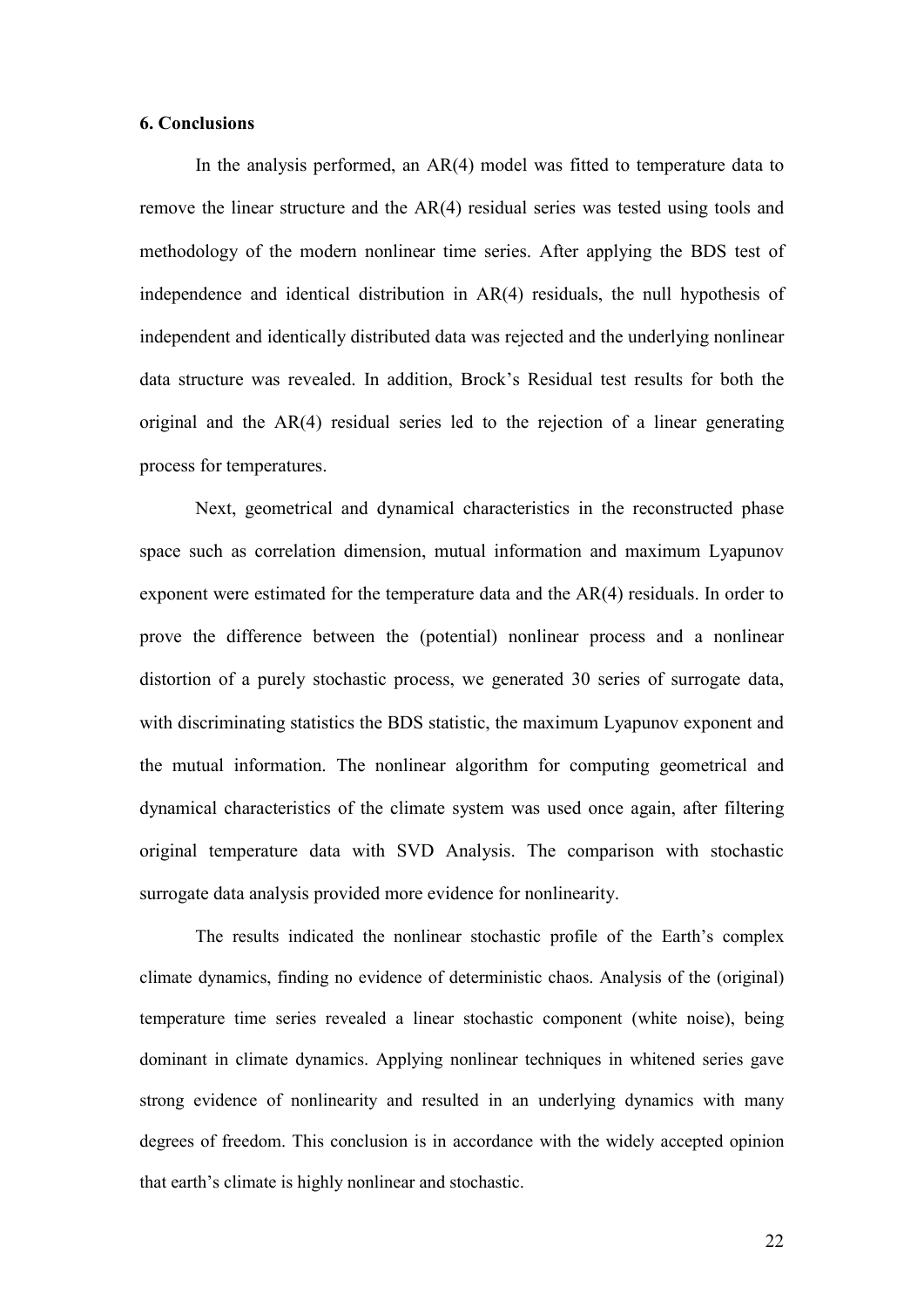#### **6. Conclusions**

In the analysis performed, an AR(4) model was fitted to temperature data to remove the linear structure and the AR(4) residual series was tested using tools and methodology of the modern nonlinear time series. After applying the BDS test of independence and identical distribution in AR(4) residuals, the null hypothesis of independent and identically distributed data was rejected and the underlying nonlinear data structure was revealed. In addition, Brock's Residual test results for both the original and the AR(4) residual series led to the rejection of a linear generating process for temperatures.

Next, geometrical and dynamical characteristics in the reconstructed phase space such as correlation dimension, mutual information and maximum Lyapunov exponent were estimated for the temperature data and the AR(4) residuals. In order to prove the difference between the (potential) nonlinear process and a nonlinear distortion of a purely stochastic process, we generated 30 series of surrogate data, with discriminating statistics the BDS statistic, the maximum Lyapunov exponent and the mutual information. The nonlinear algorithm for computing geometrical and dynamical characteristics of the climate system was used once again, after filtering original temperature data with SVD Analysis. The comparison with stochastic surrogate data analysis provided more evidence for nonlinearity.

The results indicated the nonlinear stochastic profile of the Earth's complex climate dynamics, finding no evidence of deterministic chaos. Analysis of the (original) temperature time series revealed a linear stochastic component (white noise), being dominant in climate dynamics. Applying nonlinear techniques in whitened series gave strong evidence of nonlinearity and resulted in an underlying dynamics with many degrees of freedom. This conclusion is in accordance with the widely accepted opinion that earth's climate is highly nonlinear and stochastic.

22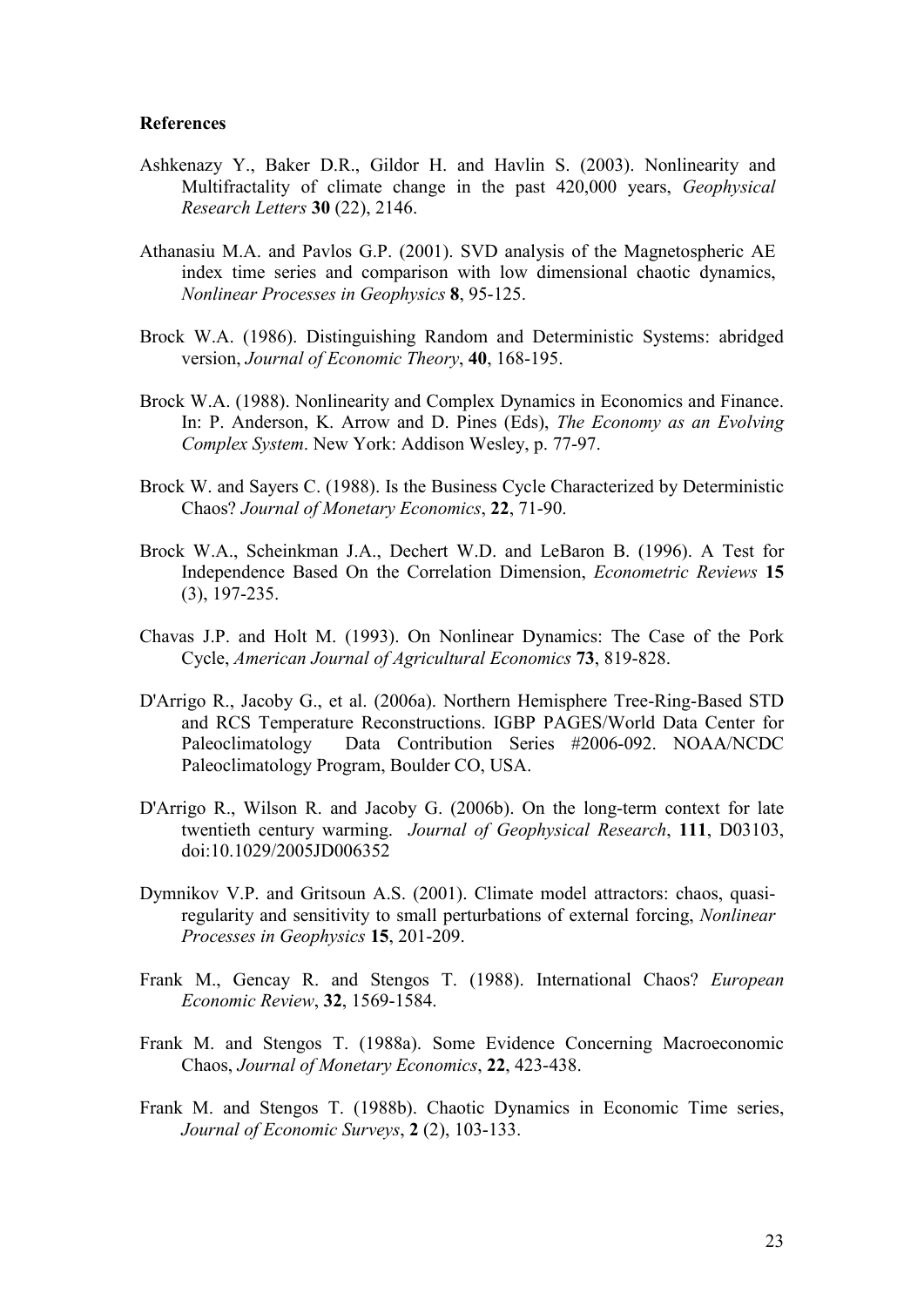#### **References**

- Ashkenazy Y., Baker D.R., Gildor H. and Havlin S. (2003). Nonlinearity and Multifractality of climate change in the past 420,000 years, *Geophysical Research Letters* **)4**(22), 2146.
- Athanasiu M.A. and Pavlos G.P. (2001). SVD analysis of the Magnetospheric AE index time series and comparison with low dimensional chaotic dynamics, *Nonlinear Processes in Geophysics* 8, 95-125.
- Brock W.A. (1986). Distinguishing Random and Deterministic Systems: abridged version, *Journal of Economic Theory*, **40**, 168-195.
- Brock W.A. (1988). Nonlinearity and Complex Dynamics in Economics and Finance. In: P. Anderson, K. Arrow and D. Pines (Eds), *The Economy as an Evolving Complex System.* New York: Addison Wesley, p. 77-97.
- Brock W. and Sayers C. (1988). Is the Business Cycle Characterized by Deterministic Chaos? *Journal of Monetary Economics*, 22, 71-90.
- Brock W.A., Scheinkman J.A., Dechert W.D. and LeBaron B. (1996). A Test for Independence Based On the Correlation Dimension, *Econometric Reviews* 15  $(3)$ , 197-235.
- Chavas J.P. and Holt M. (1993). On Nonlinear Dynamics: The Case of the Pork Cycle, *American Journal of Agricultural Economics* 73, 819-828.
- D'Arrigo R., Jacoby G., et al. (2006a). Northern Hemisphere Tree-Ring-Based STD and RCS Temperature Reconstructions. IGBP PAGES/World Data Center for Paleoclimatology Data Contribution Series #2006-092. NOAA/NCDC Paleoclimatology Program, Boulder CO, USA.
- D'Arrigo R., Wilson R. and Jacoby G.  $(2006b)$ . On the long-term context for late twentieth century warming. *Journal of Geophysical Research*, 111, D03103, doi:10.1029/2005JD006352
- Dymnikov V.P. and Gritsoun A.S. (2001). Climate model attractors: chaos, quasiregularity and sensitivity to small perturbations of external forcing, *Nonlinear Processes in Geophysics* 15, 201-209.
- Frank M., Gencay R. and Stengos T. (1988). International Chaos? *European Economic Review*, 32, 1569-1584.
- Frank M. and Stengos T. (1988a). Some Evidence Concerning Macroeconomic Chaos, *Journal of Monetary Economics*, 22, 423-438.
- Frank M. and Stengos T. (1988b). Chaotic Dynamics in Economic Time series, *Journal of Economic Surveys*, **2** (2), 103-133.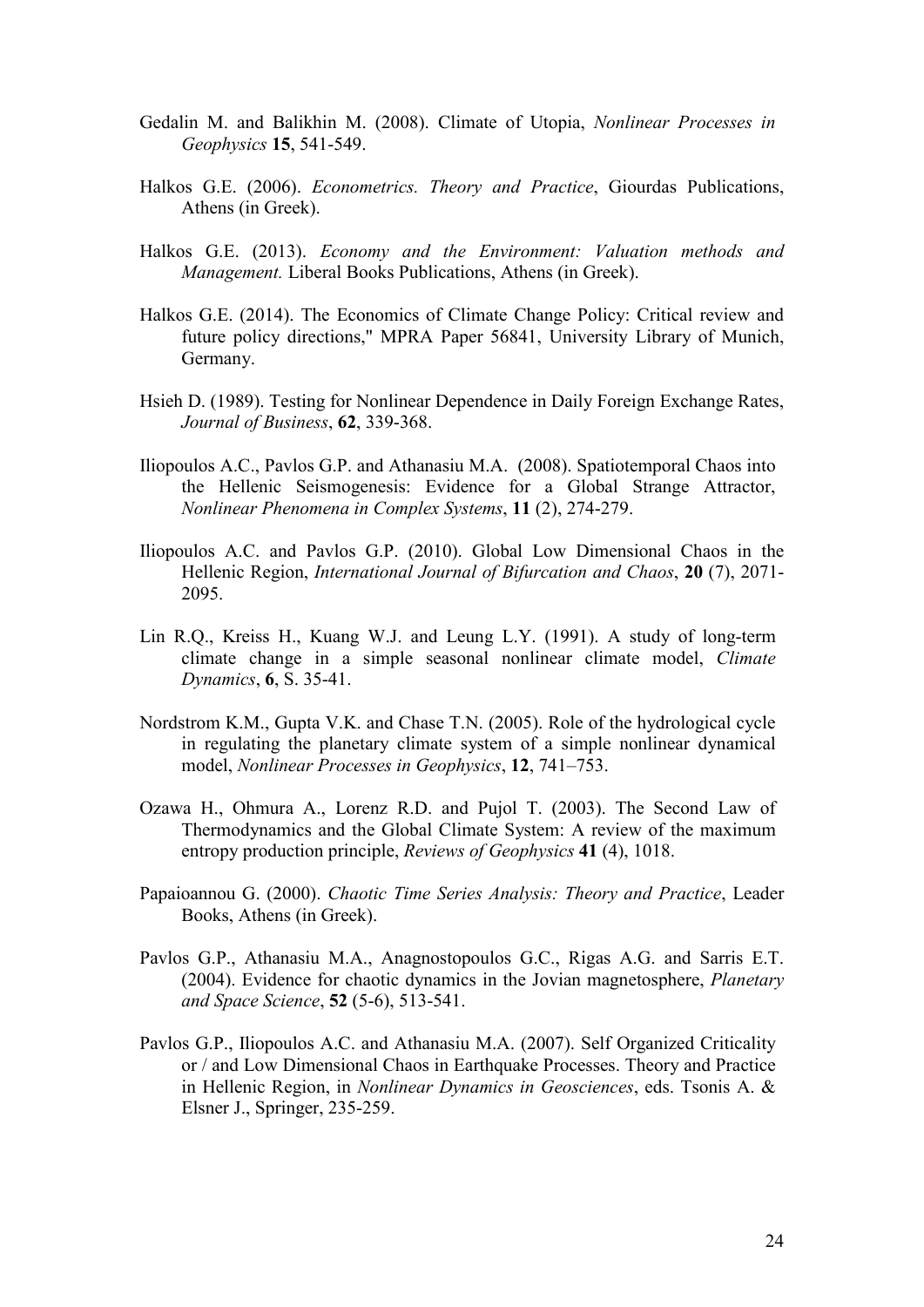- Gedalin M. and Balikhin M. (2008). Climate of Utopia, *Nonlinear Processes in Geophysics* 15, 541-549.
- Halkos G.E. (2006). *Econometrics. Theory and Practice*, Giourdas Publications, Athens (in Greek).
- Halkos G.E. (2013). *Economy and the Environment: Valuation methods and Management.* Liberal Books Publications, Athens (in Greek).
- Halkos G.E. (2014). The Economics of Climate Change Policy: Critical review and future policy directions," MPRA Paper 56841, University Library of Munich, Germany.
- Hsieh D. (1989). Testing for Nonlinear Dependence in Daily Foreign Exchange Rates, *Journal of Business*, 62, 339-368.
- Iliopoulos A.C., Pavlos G.P. and Athanasiu M.A. (2008). Spatiotemporal Chaos into the Hellenic Seismogenesis: Evidence for a Global Strange Attractor, *Nonlinear Phenomena in Complex Systems, 11 (2), 274-279.*
- Iliopoulos A.C. and Pavlos G.P. (2010). Global Low Dimensional Chaos in the Hellenic Region, *International Journal of Bifurcation and Chaos*, 20 (7), 2071-2095.
- Lin R.Q., Kreiss H., Kuang W.J. and Leung L.Y.  $(1991)$ . A study of long-term climate change in a simple seasonal nonlinear climate model, *Climate Dynamics*, **6**, **S**. 35-41.
- Nordstrom K.M., Gupta V.K. and Chase T.N. (2005). Role of the hydrological cycle in regulating the planetary climate system of a simple nonlinear dynamical model, *Nonlinear Processes in Geophysics*, 12, 741–753.
- Ozawa H., Ohmura A., Lorenz R.D. and Pujol T. (2003). The Second Law of Thermodynamics and the Global Climate System: A review of the maximum entropy production principle, *Reviews of Geophysics* **+** (4), 1018.
- Papaioannou G. (2000). *Chaotic Time Series Analysis: Theory and Practice*, Leader Books, Athens (in Greek).
- Pavlos G.P., Athanasiu M.A., Anagnostopoulos G.C., Rigas A.G. and Sarris E.T. (2004). Evidence for chaotic dynamics in the Jovian magnetosphere, *Planetary and Space Science*, **52** (5-6), 513-541.
- Pavlos G.P., Iliopoulos A.C. and Athanasiu M.A. (2007). Self Organized Criticality or / and Low Dimensional Chaos in Earthquake Processes. Theory and Practice in Hellenic Region, in *Nonlinear Dynamics in Geosciences*, eds. Tsonis A. & Elsner J., Springer, 235-259.